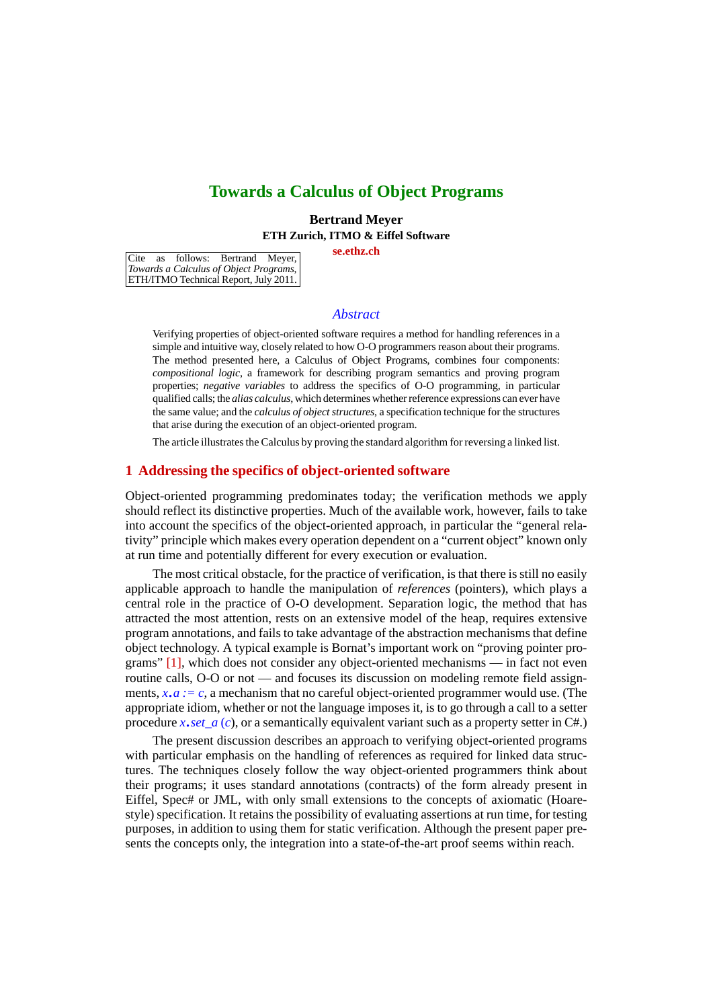# **Towards a Calculus of Object Programs**

## **Bertrand Meyer ETH Zurich, ITMO & Eiffel Software**

**se.ethz.ch**

[Cite as follows: Bertrand Meyer,](http://se.ethz.ch)  *Towards a Calculus of Object Programs*, ETH/ITMO Technical Report, July 2011.

#### *Abstract*

Verifying properties of object-oriented software requires a method for handling references in a simple and intuitive way, closely related to how O-O programmers reason about their programs. The method presented here, a Calculus of Object Programs, combines four components: *compositional logic*, a framework for describing program semantics and proving program properties; *negative variables* to address the specifics of O-O programming, in particular qualified calls; the *alias calculus*, which determines whether reference expressions can ever have the same value; and the *calculus of object structures*, a specification technique for the structures that arise during the execution of an object-oriented program.

The article illustrates the Calculus by proving the standard algorithm for reversing a linked list.

### **1 Addressing the specifics of object-oriented software**

Object-oriented programming predominates today; the verification methods we apply should reflect its distinctive properties. Much of the available work, however, fails to take into account the specifics of the object-oriented approach, in particular the "general relativity" principle which makes every operation dependent on a "current object" known only at run time and potentially different for every execution or evaluation.

The most critical obstacle, for the practice of verification, is that there is still no easily applicable approach to handle the manipulation of *references* (pointers), which plays a central role in the practice of O-O development. Separation logic, the method that has attracted the most attention, rests on an extensive model of the heap, requires extensive program annotations, and fails to take advantage of the abstraction mechanisms that define object technology. A typical example is Bornat's important work on "proving pointer programs" [\[1\],](#page-31-0) which does not consider any object-oriented mechanisms — in fact not even routine calls, O-O or not — and focuses its discussion on modeling remote field assignments,  $x \cdot a := c$ , a mechanism that no careful object-oriented programmer would use. (The appropriate idiom, whether or not the language imposes it, is to go through a call to a setter procedure *x*.*set*  $a(c)$ , or a semantically equivalent variant such as a property setter in  $C#$ .)

The present discussion describes an approach to verifying object-oriented programs with particular emphasis on the handling of references as required for linked data structures. The techniques closely follow the way object-oriented programmers think about their programs; it uses standard annotations (contracts) of the form already present in Eiffel, Spec# or JML, with only small extensions to the concepts of axiomatic (Hoarestyle) specification. It retains the possibility of evaluating assertions at run time, for testing purposes, in addition to using them for static verification. Although the present paper presents the concepts only, the integration into a state-of-the-art proof seems within reach.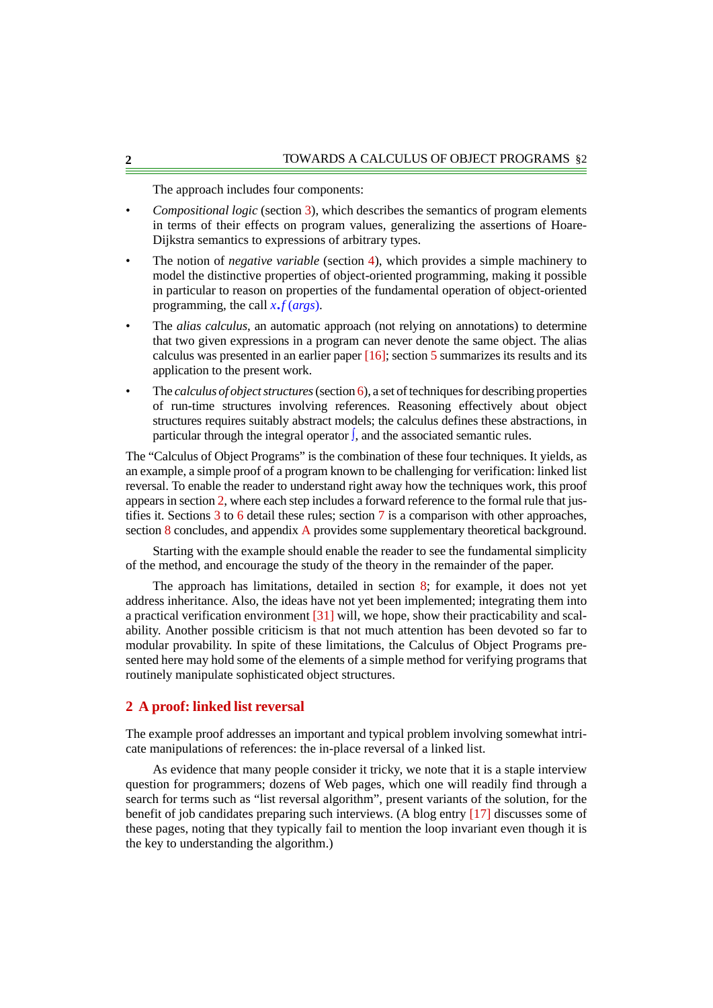The approach includes four components:

- *Compositional logic* (section [3\)](#page-10-0), which describes the semantics of program elements in terms of their effects on program values, generalizing the assertions of Hoare-Dijkstra semantics to expressions of arbitrary types.
- The notion of *negative variable* (section [4\)](#page-15-0), which provides a simple machinery to model the distinctive properties of object-oriented programming, making it possible in particular to reason on properties of the fundamental operation of object-oriented programming, the call *x*.*f* (*args*).
- The *alias calculus*, an automatic approach (not relying on annotations) to determine that two given expressions in a program can never denote the same object. The alias calculus was presented in an earlier paper [\[16\]](#page-32-1); section [5](#page-19-0) summarizes its results and its application to the present work.
- The *calculus of object structures* (section [6\)](#page-20-0), a set of techniques for describing properties of run-time structures involving references. Reasoning effectively about object structures requires suitably abstract models; the calculus defines these abstractions, in particular through the integral operator  $\int$ , and the associated semantic rules.

The "Calculus of Object Programs" is the combination of these four techniques. It yields, as an example, a simple proof of a program known to be challenging for verification: linked list reversal. To enable the reader to understand right away how the techniques work, this proof appears in section [2](#page-1-0), where each step includes a forward reference to the formal rule that justifies it. Sections [3](#page-10-0) to [6](#page-20-0) detail these rules; section [7](#page-27-0) is a comparison with other approaches, section [8](#page-29-0) concludes, and appendix [A](#page-30-0) provides some supplementary theoretical background.

Starting with the example should enable the reader to see the fundamental simplicity of the method, and encourage the study of the theory in the remainder of the paper.

The approach has limitations, detailed in section [8](#page-29-0); for example, it does not yet address inheritance. Also, the ideas have not yet been implemented; integrating them into a practical verification environment [\[31\]](#page-34-0) will, we hope, show their practicability and scalability. Another possible criticism is that not much attention has been devoted so far to modular provability. In spite of these limitations, the Calculus of Object Programs presented here may hold some of the elements of a simple method for verifying programs that routinely manipulate sophisticated object structures.

## <span id="page-1-0"></span>**2 A proof: linked list reversal**

The example proof addresses an important and typical problem involving somewhat intricate manipulations of references: the in-place reversal of a linked list.

As evidence that many people consider it tricky, we note that it is a staple interview question for programmers; dozens of Web pages, which one will readily find through a search for terms such as "list reversal algorithm", present variants of the solution, for the benefit of job candidates preparing such interviews. (A blog entry [\[17\]](#page-32-0) discusses some of these pages, noting that they typically fail to mention the loop invariant even though it is the key to understanding the algorithm.)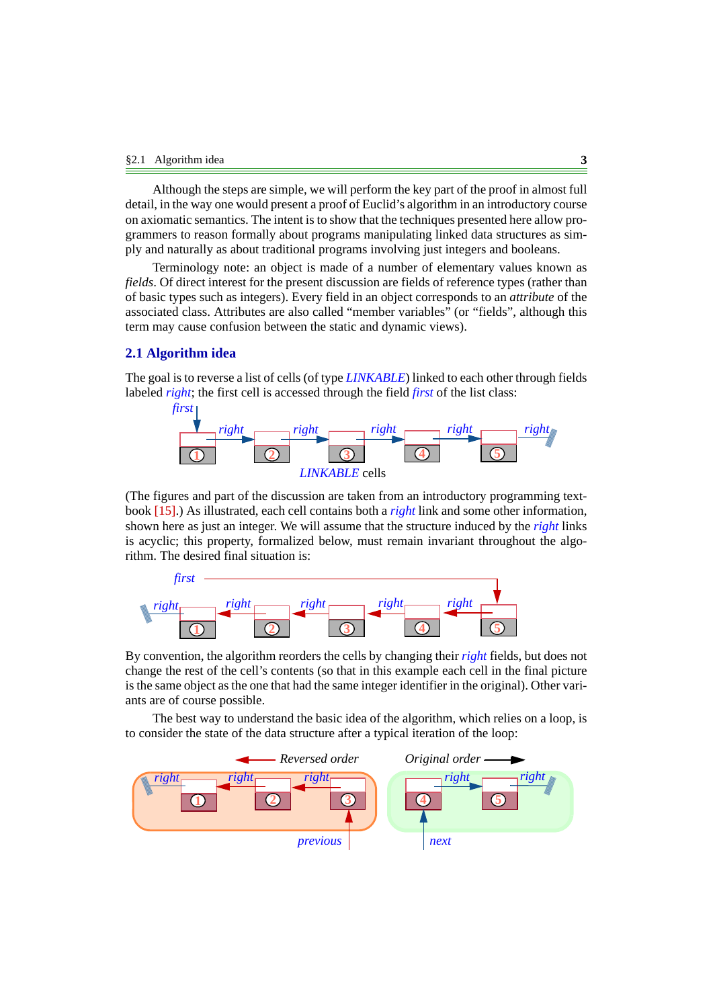Although the steps are simple, we will perform the key part of the proof in almost full detail, in the way one would present a proof of Euclid's algorithm in an introductory course on axiomatic semantics. The intent is to show that the techniques presented here allow programmers to reason formally about programs manipulating linked data structures as simply and naturally as about traditional programs involving just integers and booleans.

Terminology note: an object is made of a number of elementary values known as *fields*. Of direct interest for the present discussion are fields of reference types (rather than of basic types such as integers). Every field in an object corresponds to an *attribute* of the associated class. Attributes are also called "member variables" (or "fields", although this term may cause confusion between the static and dynamic views).

#### **2.1 Algorithm idea**

The goal is to reverse a list of cells (of type *LINKABLE*) linked to each other through fields labeled *right*; the first cell is accessed through the field *first* of the list class:



(The figures and part of the discussion are taken from an introductory programming textbook [\[15\].](#page-32-2)) As illustrated, each cell contains both a *right* link and some other information, shown here as just an integer. We will assume that the structure induced by the *right* links is acyclic; this property, formalized below, must remain invariant throughout the algorithm. The desired final situation is:



By convention, the algorithm reorders the cells by changing their *right* fields, but does not change the rest of the cell's contents (so that in this example each cell in the final picture is the same object as the one that had the same integer identifier in the original). Other variants are of course possible.

The best way to understand the basic idea of the algorithm, which relies on a loop, is to consider the state of the data structure after a typical iteration of the loop:

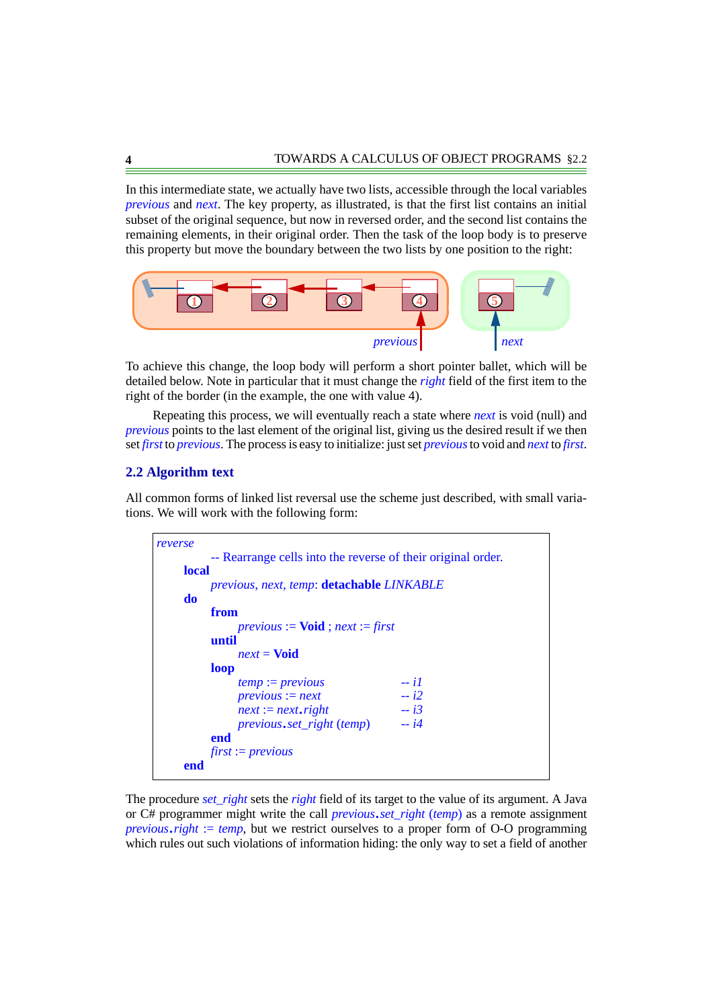In this intermediate state, we actually have two lists, accessible through the local variables *previous* and *next*. The key property, as illustrated, is that the first list contains an initial subset of the original sequence, but now in reversed order, and the second list contains the remaining elements, in their original order. Then the task of the loop body is to preserve this property but move the boundary between the two lists by one position to the right:



To achieve this change, the loop body will perform a short pointer ballet, which will be detailed below. Note in particular that it must change the *right* field of the first item to the right of the border (in the example, the one with value 4).

Repeating this process, we will eventually reach a state where *next* is void (null) and *previous* points to the last element of the original list, giving us the desired result if we then set *first* to *previous*. The process is easy to initialize: just set *previous* to void and *next* to *first*.

## **2.2 Algorithm text**

All common forms of linked list reversal use the scheme just described, with small variations. We will work with the following form:

```
reverse
           -- Rearrange cells into the reverse of their original order.
     local
           previous, next, temp: detachable LINKABLE
     do
           from
                 previous := Void ; next := first
           until
                 next = <b>void</b>loop
                 temp := previous -- i1<br>
nrevious := next -- i2
                 previously := nextnext := next.right<br>nrevious.set right (temp) -- i4
                 previous.set_right (temp)
           end
           first := previous
     end
```
The procedure *set\_right* sets the *right* field of its target to the value of its argument. A Java or C# programmer might write the call *previous*.*set\_right* (*temp*) as a remote assignment *previous*.*right* := *temp*, but we restrict ourselves to a proper form of O-O programming which rules out such violations of information hiding: the only way to set a field of another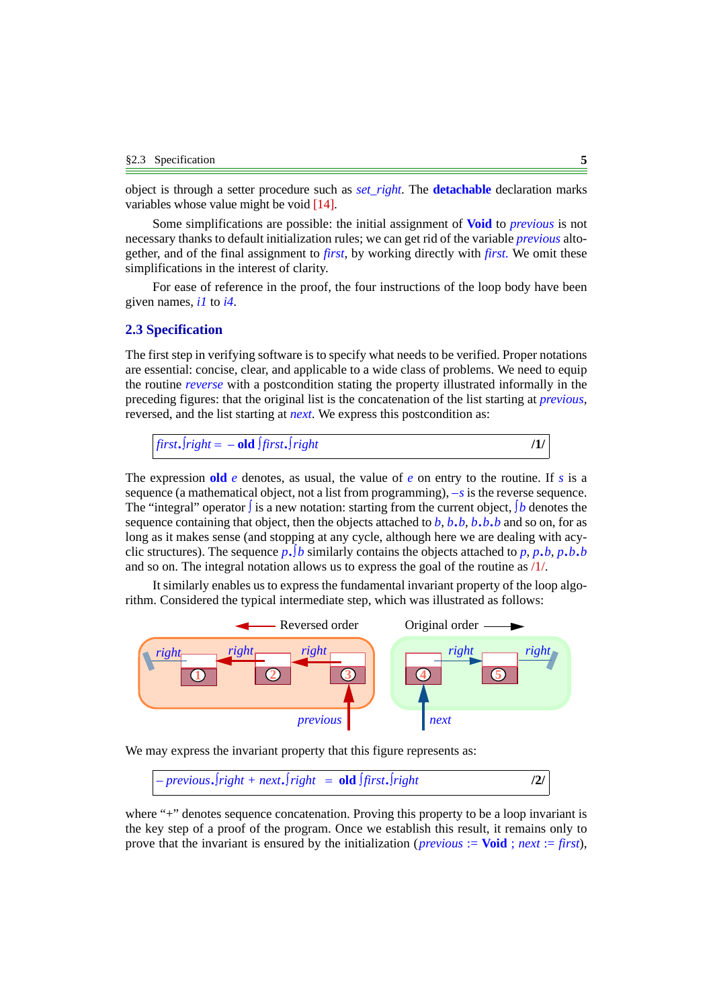object is through a setter procedure such as *set\_right*. The **detachable** declaration marks variables whose value might be void [\[14\]](#page-32-3).

Some simplifications are possible: the initial assignment of **Void** to *previous* is not necessary thanks to default initialization rules; we can get rid of the variable *previous* altogether, and of the final assignment to *first*, by working directly with *first.* We omit these simplifications in the interest of clarity.

For ease of reference in the proof, the four instructions of the loop body have been given names, *i1* to *i4*.

#### **2.3 Specification**

The first step in verifying software is to specify what needs to be verified. Proper notations are essential: concise, clear, and applicable to a wide class of problems. We need to equip the routine *reverse* with a postcondition stating the property illustrated informally in the preceding figures: that the original list is the concatenation of the list starting at *previous*, reversed, and the list starting at *next*. We express this postcondition as:

<span id="page-4-0"></span>*first*.*right –* **old** *first*.*right* **/1/**

The expression **old** *e* denotes, as usual, the value of *e* on entry to the routine. If *s* is a sequence (a mathematical object, not a list from programming),  $-s$  is the reverse sequence. The "integral" operator is a new notation: starting from the current object,  $\vert b \vert$  denotes the sequence containing that object, then the objects attached to *b*, *b*.*b*, *b*.*b*.*b* and so on, for as long as it makes sense (and stopping at any cycle, although here we are dealing with acyclic structures). The sequence  $p$ ,  $\overline{b}$  similarly contains the objects attached to  $\overline{p}$ ,  $\overline{p}$ ,  $\overline{b}$ ,  $\overline{b}$ ,  $\overline{b}$ ,  $\overline{b}$ ,  $\overline{b}$ and so on. The integral notation allows us to express the goal of the routine as [/1/](#page-4-0).

It similarly enables us to express the fundamental invariant property of the loop algorithm. Considered the typical intermediate step, which was illustrated as follows:



We may express the invariant property that this figure represents as:

<span id="page-4-1"></span> $-$  previous.  $\int$ *right* + *next*.  $\int$ *right* = **old**  $\int$ *first*.  $\int$ *right*  $\qquad$  /2/

where "+" denotes sequence concatenation. Proving this property to be a loop invariant is the key step of a proof of the program. Once we establish this result, it remains only to prove that the invariant is ensured by the initialization (*previous* := **Void** ; *next* := *first*),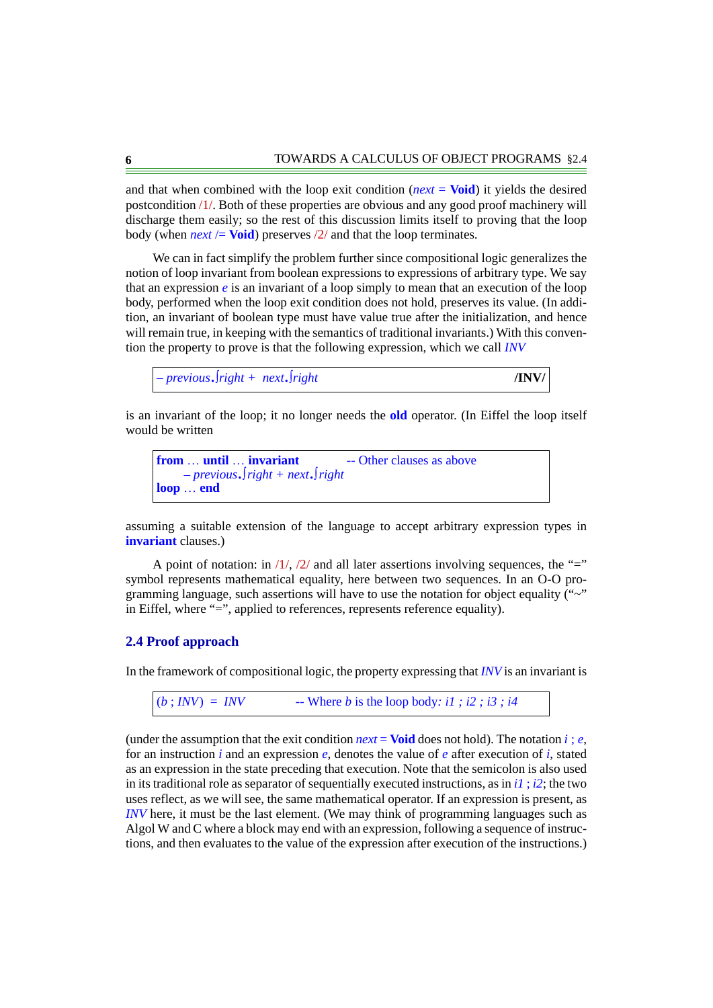and that when combined with the loop exit condition ( $next = **void**$ ) it yields the desired postcondition [/1/.](#page-4-0) Both of these properties are obvious and any good proof machinery will discharge them easily; so the rest of this discussion limits itself to proving that the loop body (when  $next$  /= **Void**) preserves [/2/](#page-4-1) and that the loop terminates.

We can in fact simplify the problem further since compositional logic generalizes the notion of loop invariant from boolean expressions to expressions of arbitrary type. We say that an expression  $e$  is an invariant of a loop simply to mean that an execution of the loop body, performed when the loop exit condition does not hold, preserves its value. (In addition, an invariant of boolean type must have value true after the initialization, and hence will remain true, in keeping with the semantics of traditional invariants.) With this convention the property to prove is that the following expression, which we call *INV*

```
– previous.right + next.right /INV/
```
is an invariant of the loop; it no longer needs the **old** operator. (In Eiffel the loop itself would be written

```
from ... until ... invariant -- Other clauses as above
    -previous. right + next. right
loop ... end
```
assuming a suitable extension of the language to accept arbitrary expression types in **invariant** clauses.)

A point of notation: in  $/1/$ ,  $/2/$  and all later assertions involving sequences, the "=" symbol represents mathematical equality, here between two sequences. In an O-O programming language, such assertions will have to use the notation for object equality ("~" in Eiffel, where "=", applied to references, represents reference equality).

### **2.4 Proof approach**

In the framework of compositional logic, the property expressing that *INV* is an invariant is

 $(b; \textit{INV}) = \textit{INV}$  -- Where *b* is the loop body: *i1*; *i2*; *i3*; *i4* 

(under the assumption that the exit condition  $next = **void**$  does not hold). The notation *i* ; *e*, for an instruction *i* and an expression *e*, denotes the value of *e* after execution of *i*, stated as an expression in the state preceding that execution. Note that the semicolon is also used in its traditional role as separator of sequentially executed instructions, as in *i1* ; *i2*; the two uses reflect, as we will see, the same mathematical operator. If an expression is present, as *INV* here, it must be the last element. (We may think of programming languages such as Algol W and C where a block may end with an expression, following a sequence of instructions, and then evaluates to the value of the expression after execution of the instructions.)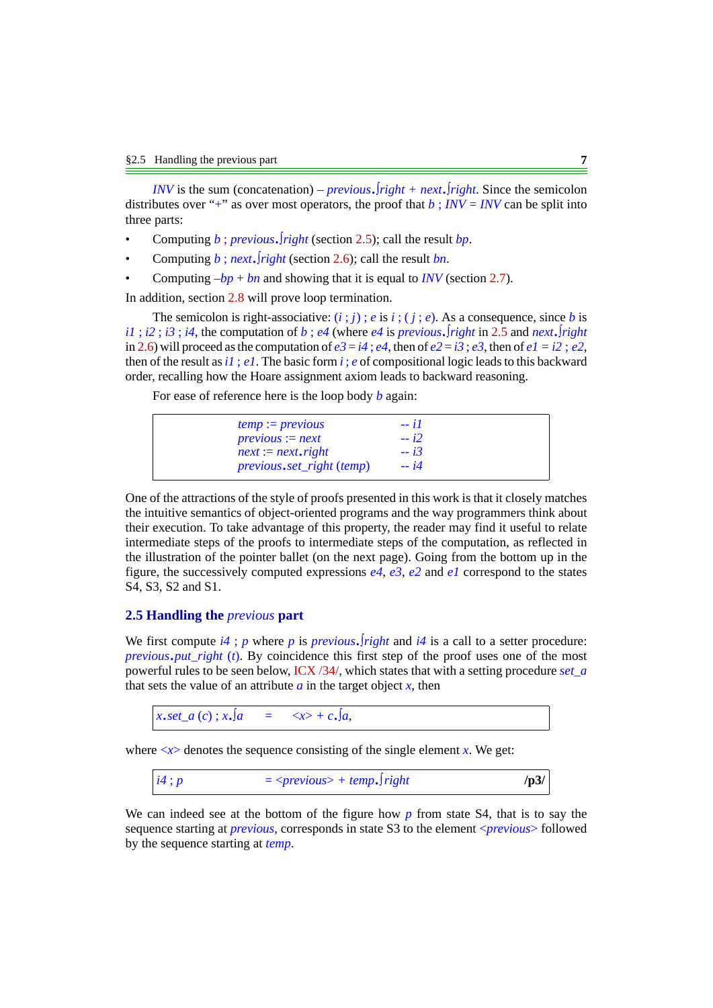*INV* is the sum (concatenation) *– previous*. *right* + *next*. *fright*. Since the semicolon distributes over "+" as over most operators, the proof that  $b : INV = INV$  can be split into three parts:

- Computing *b* ; *previous*.*right* (section [2.5\)](#page-6-0); call the result *bp*.
- Computing  $b$ ; *next*. *fright* (section [2.6\)](#page-8-0); call the result *bn*.
- Computing  $-bp + bn$  and showing that it is equal to *INV* (section [2.7\)](#page-9-0).

In addition, section [2.8](#page-9-1) will prove loop termination.

The semicolon is right-associative:  $(i; j)$ ; *e* is  $i$ ;  $(j; e)$ . As a consequence, since *b* is *i1* ; *i2* ; *i3* ; *i4*, the computation of *b* ; *e4* (where *e4* is *previous*. *fright* in [2.5](#page-6-0) and *next*. *fright* in [2.6](#page-8-0)) will proceed as the computation of  $e3 = i4$ ;  $e4$ , then of  $e2 = i3$ ;  $e3$ , then of  $e1 = i2$ ;  $e2$ , then of the result as *i1* ; *e1*. The basic form *i* ; *e* of compositional logic leads to this backward order, recalling how the Hoare assignment axiom leads to backward reasoning.

For ease of reference here is the loop body *b* again:

*temp* := *previous* -- *i1*  $previous := next$  -- *i2*<br>  $next := next.right$  -- *i3*  $next := next\text{.}right \longrightarrow -i3$ <br>*nrevious.set* right (*temn*) -- *i4 previous.set\_right (temp)* 

One of the attractions of the style of proofs presented in this work is that it closely matches the intuitive semantics of object-oriented programs and the way programmers think about their execution. To take advantage of this property, the reader may find it useful to relate intermediate steps of the proofs to intermediate steps of the computation, as reflected in the illustration of the pointer ballet (on the next page). Going from the bottom up in the figure, the successively computed expressions *e4*, *e3*, *e2* and *e1* correspond to the states S4, S3, S2 and S1.

#### <span id="page-6-0"></span>**2.5 Handling the** *previous* **part**

We first compute  $i4$ ; p where p is *previous*. *fright* and  $i4$  is a call to a setter procedure: *previous*.*put\_right* (*t*). By coincidence this first step of the proof uses one of the most powerful rules to be seen below, [ICX /34/](#page-26-0), which states that with a setting procedure *set\_a* that sets the value of an attribute  $\alpha$  in the target object  $\alpha$ , then

*x*.*set*  $a(c)$  ;  $x \cdot a = \langle x \rangle + c \cdot a$ ,

where  $\langle x \rangle$  denotes the sequence consisting of the single element x. We get:

$$
i4 ; p = \langle previous \rangle + temp. \boxed{right} \qquad \qquad /p3/
$$

We can indeed see at the bottom of the figure how *p* from state S4, that is to say the sequence starting at *previous*, corresponds in state S3 to the element <*previous*> followed by the sequence starting at *temp*.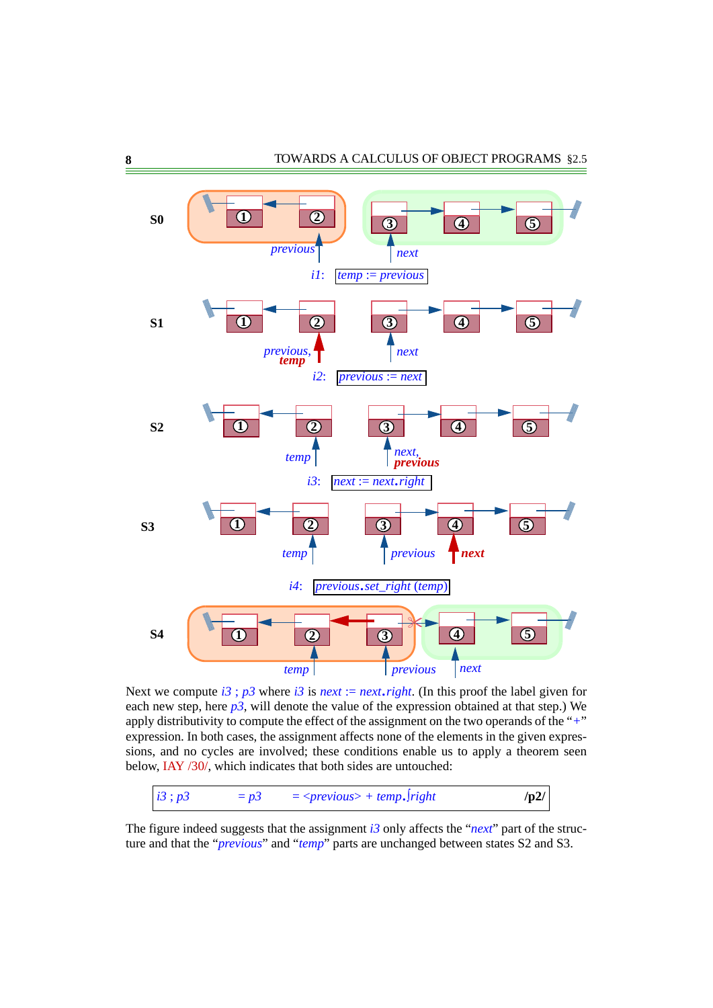

Next we compute  $i3$ ;  $p3$  where  $i3$  is *next*:  $i = next$ , *right*. (In this proof the label given for each new step, here  $p3$ , will denote the value of the expression obtained at that step.) We apply distributivity to compute the effect of the assignment on the two operands of the "*+*" expression. In both cases, the assignment affects none of the elements in the given expressions, and no cycles are involved; these conditions enable us to apply a theorem seen below, [IAY /30/,](#page-25-0) which indicates that both sides are untouched:

$$
i3 \ ; p3 \qquad \qquad = p3 \qquad \qquad = \langle previous \rangle + temp.\text{light} \qquad \qquad \text{Ip21}
$$

The figure indeed suggests that the assignment *i3* only affects the "*next*" part of the structure and that the "*previous*" and "*temp*" parts are unchanged between states S2 and S3.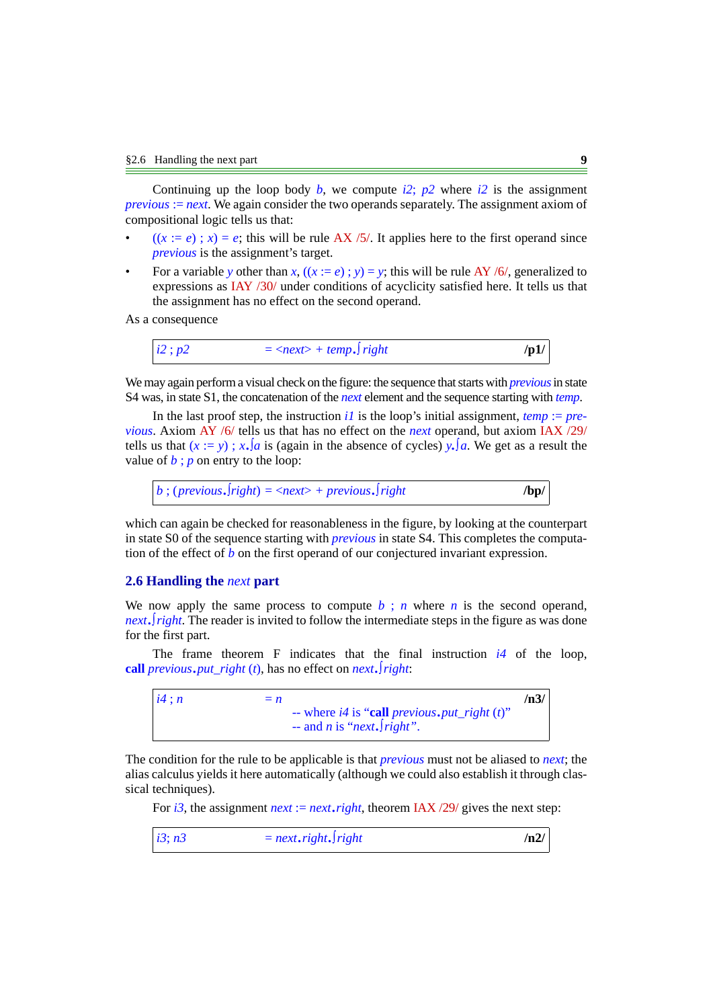Continuing up the loop body *b*, we compute  $i2$ ;  $p2$  where  $i2$  is the assignment *previous* := *next*. We again consider the two operands separately. The assignment axiom of compositional logic tells us that:

- $((x := e)$ ;  $x$ ) = e; this will be rule [AX /5/](#page-11-1). It applies here to the first operand since *previous* is the assignment's target.
- For a variable *y* other than *x*,  $((x := e) : y) = y$ ; this will be rule [AY /6/](#page-11-0), generalized to expressions as [IAY /30/](#page-25-0) under conditions of acyclicity satisfied here. It tells us that the assignment has no effect on the second operand.

As a consequence

$$
i2 ; p2 = <\!\!\mathit{next} \rangle + \mathit{temp} \cdot \int \! \mathit{right} \qquad \qquad /p1
$$

We may again perform a visual check on the figure: the sequence that starts with *previous* in state S4 was, in state S1, the concatenation of the *next* element and the sequence starting with *temp*.

In the last proof step, the instruction  $i\ell$  is the loop's initial assignment, *temp* := pre*vious*. Axiom [AY /6/](#page-11-0) tells us that has no effect on the *next* operand, but axiom [IAX /29/](#page-25-1) tells us that  $(x := y)$ ; x,  $a$  is (again in the absence of cycles)  $y$ ,  $a$ . We get as a result the value of  $\mathbf{b}$ ;  $\mathbf{p}$  on entry to the loop:

 $b$ ; (*previous*.*fright*) = <*next*> + *previous*.*fright* **/bp/** 

which can again be checked for reasonableness in the figure, by looking at the counterpart in state S0 of the sequence starting with *previous* in state S4. This completes the computation of the effect of *b* on the first operand of our conjectured invariant expression.

#### <span id="page-8-0"></span>**2.6 Handling the** *next* **part**

We now apply the same process to compute  $b$ ; *n* where *n* is the second operand, *next*. *fright*. The reader is invited to follow the intermediate steps in the figure as was done for the first part.

The frame theorem F indicates that the final instruction *i4* of the loop, **call** *previous*.*put\_right* (*t*), has no effect on *next*.*right*:

$$
i4 ; n = n
$$
  
... where  $i4$  is "call previous.put\_right (t)"  
... and *n* is "next.[right".  
[18]

The condition for the rule to be applicable is that *previous* must not be aliased to *next*; the alias calculus yields it here automatically (although we could also establish it through classical techniques).

For  $i3$ , the assignment *next* := *next*.*right*, theorem [IAX /29/](#page-25-1) gives the next step:

| i3; n3 | $=$ next. right. $\int$ right | /n2/ |
|--------|-------------------------------|------|
|--------|-------------------------------|------|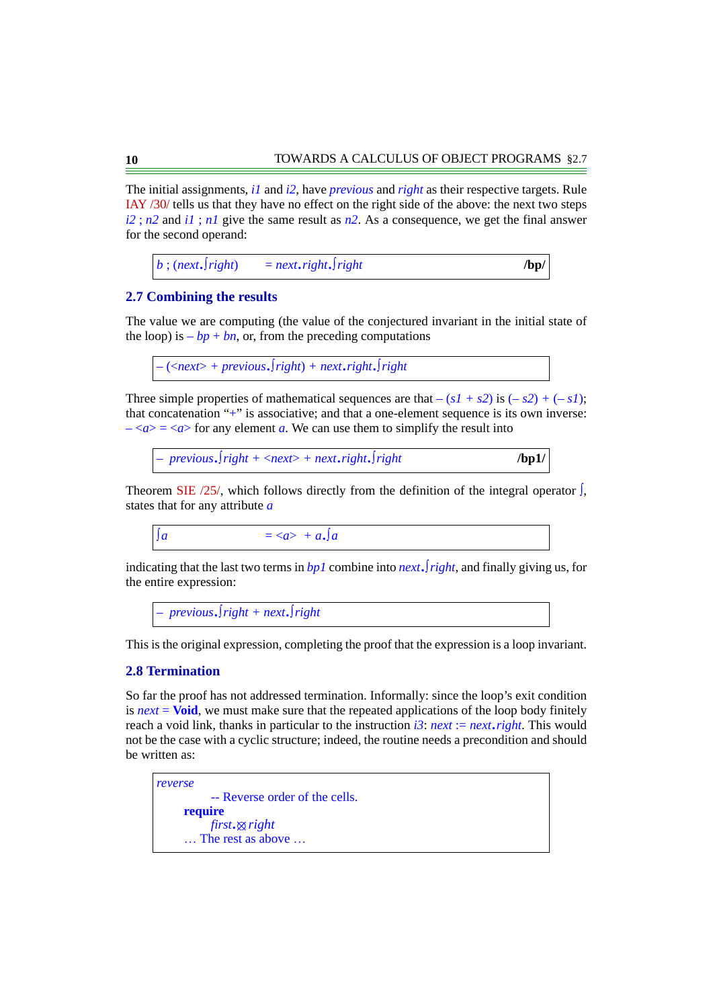The initial assignments, *i1* and *i2*, have *previous* and *right* as their respective targets. Rule [IAY /30/](#page-25-0) tells us that they have no effect on the right side of the above: the next two steps  $i2$ ;  $n2$  and  $i1$ ;  $n1$  give the same result as  $n2$ . As a consequence, we get the final answer for the second operand:

 $b$ ; (*next*.*fright*) = *next*.*right*.*fright* **/bp/** 

## <span id="page-9-0"></span>**2.7 Combining the results**

The value we are computing (the value of the conjectured invariant in the initial state of the loop) is  $-\mathbf{bp} + \mathbf{bn}$ , or, from the preceding computations

– (<*next*<sup>&</sup>gt; *<sup>+</sup> previous*.*right*) *+ next*.*right*.*right*

Three simple properties of mathematical sequences are that  $-(sI + s2)$  is  $(-sI)$ ; that concatenation "+" is associative; and that a one-element sequence is its own inverse:  $-\langle a \rangle = \langle a \rangle$  for any element *a*. We can use them to simplify the result into

 $-$  *previous*.  $\int$ *right* +  $\langle$ *next* $\rangle$  + *next*. *right*.  $\int$ *right*  $\int$  **//***np1/* 

Theorem [SIE /25/](#page-23-0), which follows directly from the definition of the integral operator  $\mathcal{I}$ , states that for any attribute *a*

 $a = \langle a \rangle + a$ **.**  $|a|$ 

indicating that the last two terms in  $bpl$  combine into *next*. *right*, and finally giving us, for the entire expression:

```
– previous.right + next.right
```
This is the original expression, completing the proof that the expression is a loop invariant.

# <span id="page-9-1"></span>**2.8 Termination**

So far the proof has not addressed termination. Informally: since the loop's exit condition is  $next = **void**$ , we must make sure that the repeated applications of the loop body finitely reach a void link, thanks in particular to the instruction *i3*: *next* := *next*.*right*. This would not be the case with a cyclic structure; indeed, the routine needs a precondition and should be written as:

```
reverse
           -- Reverse order of the cells.
     require
          first. right
     \ldots The rest as above \ldots
```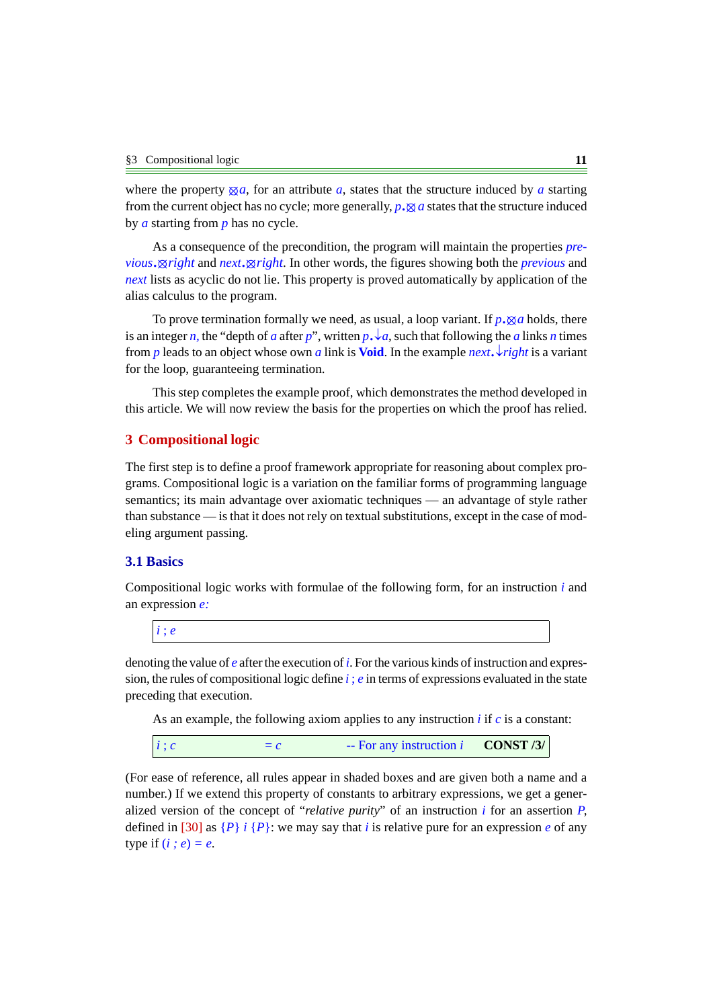where the property  $\otimes a$ , for an attribute a, states that the structure induced by a starting from the current object has no cycle; more generally,  $p \cdot \otimes a$  states that the structure induced by *a* starting from *p* has no cycle.

As a consequence of the precondition, the program will maintain the properties *previous*.  $\&$ *right* and *next*.  $\&$ *right*. In other words, the figures showing both the *previous* and *next* lists as acyclic do not lie. This property is proved automatically by application of the alias calculus to the program.

To prove termination formally we need, as usual, a loop variant. If  $p \cdot \otimes a$  holds, there is an integer *n*, the "depth of *a* after *p*", written  $p \cdot \phi$ , such that following the *a* links *n* times from *p* leads to an object whose own *a* link is **Void**. In the example *next*. *Fight* is a variant for the loop, guaranteeing termination.

This step completes the example proof, which demonstrates the method developed in this article. We will now review the basis for the properties on which the proof has relied.

# <span id="page-10-0"></span>**3 Compositional logic**

The first step is to define a proof framework appropriate for reasoning about complex programs. Compositional logic is a variation on the familiar forms of programming language semantics; its main advantage over axiomatic techniques — an advantage of style rather than substance — is that it does not rely on textual substitutions, except in the case of modeling argument passing.

## **3.1 Basics**

Compositional logic works with formulae of the following form, for an instruction *i* and an expression *e:*

*i* ; *e*

denoting the value of *e* after the execution of *i*. For the various kinds of instruction and expression, the rules of compositional logic define *i* ; *e* in terms of expressions evaluated in the state preceding that execution.

As an example, the following axiom applies to any instruction *i* if *c* is a constant:

<span id="page-10-1"></span>*i*; *c* = *c* -- For any instruction *i* **CONST /3/** 

(For ease of reference, all rules appear in shaded boxes and are given both a name and a number.) If we extend this property of constants to arbitrary expressions, we get a generalized version of the concept of "*relative purity*" of an instruction *i* for an assertion *P*, defined in [\[30\]](#page-33-0) as  $\{P\}$  *i*  $\{P\}$ : we may say that *i* is relative pure for an expression *e* of any type if  $(i : e) = e$ .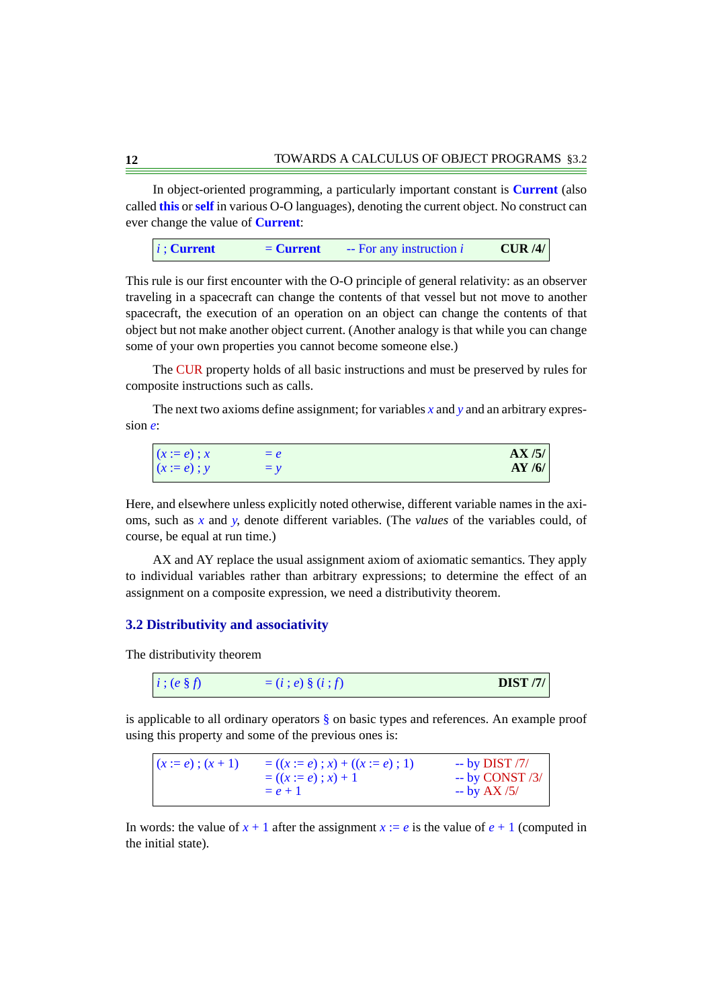In object-oriented programming, a particularly important constant is **Current** (also called **this** or **self** in various O-O languages), denoting the current object. No construct can ever change the value of **Current**:

<span id="page-11-3"></span>

This rule is our first encounter with the O-O principle of general relativity: as an observer traveling in a spacecraft can change the contents of that vessel but not move to another spacecraft, the execution of an operation on an object can change the contents of that object but not make another object current. (Another analogy is that while you can change some of your own properties you cannot become someone else.)

The CUR property holds of all basic instructions and must be preserved by rules for composite instructions such as calls.

The next two axioms define assignment; for variables *x* and *y* and an arbitrary expression *e*:

<span id="page-11-1"></span><span id="page-11-0"></span>

| $(x := e)$ ; x | $= e$ | AX/5/ |
|----------------|-------|-------|
| $(x := e)$ ; y | $= v$ | AY/6/ |

Here, and elsewhere unless explicitly noted otherwise, different variable names in the axioms, such as *x* and *y*, denote different variables. (The *values* of the variables could, of course, be equal at run time.)

AX and AY replace the usual assignment axiom of axiomatic semantics. They apply to individual variables rather than arbitrary expressions; to determine the effect of an assignment on a composite expression, we need a distributivity theorem.

## **3.2 Distributivity and associativity**

The distributivity theorem

<span id="page-11-2"></span>*i* ; (*e* § *f*)  $=(i ; e)$  § (*i* ; *f*) **DIST** /7/

is applicable to all ordinary operators  $\S$  on basic types and references. An example proof using this property and some of the previous ones is:

 $(x := e)$ ;  $(x + 1) = ((x := e)$ ;  $x) + ((x := e)$ ; 1) -- by [DIST /7/](#page-11-2)  $= ((x := e) ; x) + 1$  -- by [CONST /3/](#page-10-1)  $= e + 1$  -- by [AX /5/](#page-11-1)

In words: the value of  $x + 1$  after the assignment  $x := e$  is the value of  $e + 1$  (computed in the initial state).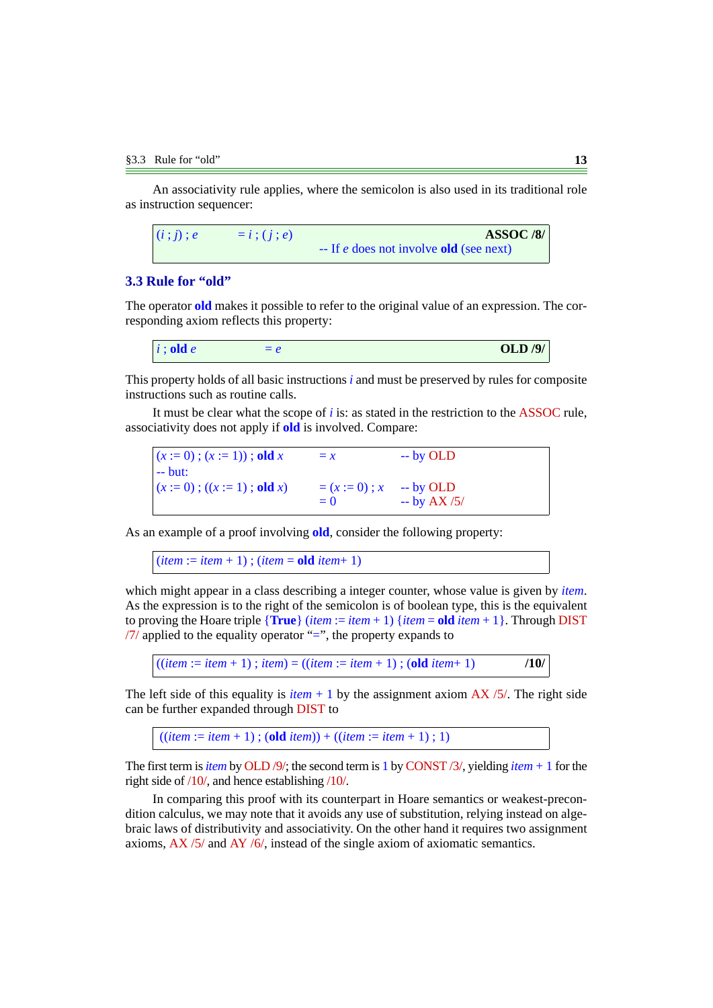An associativity rule applies, where the semicolon is also used in its traditional role as instruction sequencer:

<span id="page-12-2"></span> $(i ; j)$ ;  $e = i$ ; (*j*; *e*) **ASSOC** /8/ -- If *e* does not involve **old** (see next)

## **3.3 Rule for "old"**

The operator **old** makes it possible to refer to the original value of an expression. The corresponding axiom reflects this property:

<span id="page-12-1"></span> $i$ ; **old**  $e$  =  $e$  **OLD** /9/

This property holds of all basic instructions *i* and must be preserved by rules for composite instructions such as routine calls.

It must be clear what the scope of  $i$  is: as stated in the restriction to the ASSOC rule, associativity does not apply if **old** is involved. Compare:

 $(x := 0)$ ;  $(x := 1)$ ); **old**  $x = x$  -- by OLD -- but:  $(x := 0)$ ;  $((x := 1)$ ; old  $x) = (x := 0)$ ;  $x - 1$  by OLD  $= 0$  -- by [AX /5/](#page-11-1)

As an example of a proof involving **old**, consider the following property:

 $(i$ tem := item + 1) ;  $(i$ tem = **old** item + 1)

which might appear in a class describing a integer counter, whose value is given by *item*. As the expression is to the right of the semicolon is of boolean type, this is the equivalent to proving the Hoare triple  $\{True\}$  (*item := item* + 1)  $\{item = old$  *item* + 1 $\}$ . Through [DIST](#page-11-2)  $/7/$  applied to the equality operator "=", the property expands to

<span id="page-12-0"></span> $((item := item + 1)$ ;  $item) = ((item := item + 1)$ ;  $(\text{old item} + 1)$  /10/

The left side of this equality is  $item + 1$  by the assignment axiom AX  $/5/$ . The right side can be further expanded through DIST to

 $((item := item + 1)$ ;  $(\text{old item}) + ((item := item + 1)$ ; 1)

The first term is *item* by [OLD /9/;](#page-12-1) the second term is 1 by [CONST /3/](#page-10-1), yielding *item* + 1 for the right side of [/10/,](#page-12-0) and hence establishing [/10/.](#page-12-0)

In comparing this proof with its counterpart in Hoare semantics or weakest-precondition calculus, we may note that it avoids any use of substitution, relying instead on algebraic laws of distributivity and associativity. On the other hand it requires two assignment axioms,  $AX/5/$  and  $AY/6/$ , instead of the single axiom of axiomatic semantics.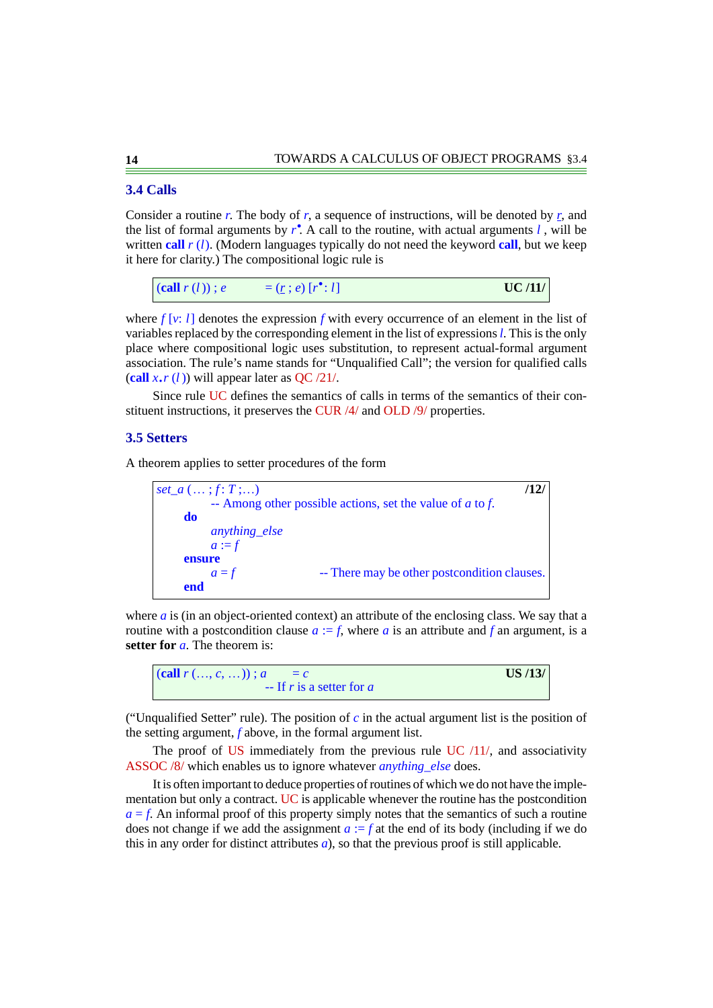## **3.4 Calls**

Consider a routine *r*. The body of *r*, a sequence of instructions, will be denoted by  $r$ , and the list of formal arguments by  $r^*$  A call to the routine, with actual arguments *l*, will be the list of formal arguments by  $r^*$ . A call to the routine, with actual arguments  $l$ , will be written **call** *r* (*l*). (Modern languages typically do not need the keyword **call**, but we keep it here for clarity.) The compositional logic rule is

<span id="page-13-0"></span> $(call r (l))$ ;  $e = (r ; e) [r^{\bullet} : l]$ .: *l*] **UC /11/**

where  $f[v: l]$  denotes the expression f with every occurrence of an element in the list of variables replaced by the corresponding element in the list of expressions *l*. This is the only place where compositional logic uses substitution, to represent actual-formal argument association. The rule's name stands for "Unqualified Call"; the version for qualified calls (call  $x, r$  (*l*)) will appear later as QC  $/21$ .

Since rule UC defines the semantics of calls in terms of the semantics of their constituent instructions, it preserves the [CUR /4/](#page-11-3) and [OLD /9/](#page-12-1) properties.

## <span id="page-13-1"></span>**3.5 Setters**

A theorem applies to setter procedures of the form



where  $a$  is (in an object-oriented context) an attribute of the enclosing class. We say that a routine with a postcondition clause  $a := f$ , where a is an attribute and f an argument, is a **setter for** *a*. The theorem is:

<span id="page-13-2"></span>
$$
(\text{call } r(..., c, ...)); a = c
$$
  
- If *r* is a setter for *a*

("Unqualified Setter" rule). The position of  $c$  in the actual argument list is the position of the setting argument, *f* above, in the formal argument list.

The proof of US immediately from the previous rule UC  $/11/$ , and associativity [ASSOC /8/](#page-12-2) which enables us to ignore whatever *anything\_else* does.

It is often important to deduce properties of routines of which we do not have the implementation but only a contract. UC is applicable whenever the routine has the postcondition  $a = f$ . An informal proof of this property simply notes that the semantics of such a routine does not change if we add the assignment *a* := *f* at the end of its body (including if we do this in any order for distinct attributes  $a$ ), so that the previous proof is still applicable.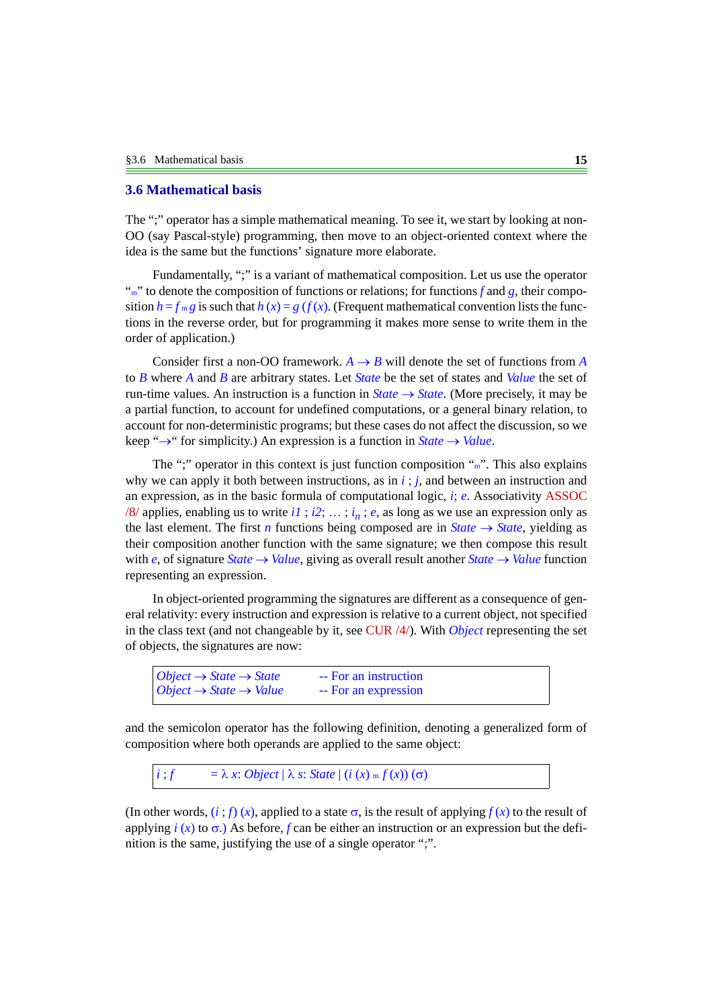#### **3.6 Mathematical basis**

The ";" operator has a simple mathematical meaning. To see it, we start by looking at non-OO (say Pascal-style) programming, then move to an object-oriented context where the idea is the same but the functions' signature more elaborate.

Fundamentally, ";" is a variant of mathematical composition. Let us use the operator "m" to denote the composition of functions or relations; for functions  $f$  and  $g$ , their composition  $h = f_{mg}$  is such that  $h(x) = g(f(x))$ . (Frequent mathematical convention lists the functions in the reverse order, but for programming it makes more sense to write them in the order of application.)

Consider first a non-OO framework.  $A \rightarrow B$  will denote the set of functions from A to *B* where *A* and *B* are arbitrary states. Let *State* be the set of states and *Value* the set of run-time values. An instruction is a function in *State*  $\rightarrow$  *State*. (More precisely, it may be a partial function, to account for undefined computations, or a general binary relation, to account for non-deterministic programs; but these cases do not affect the discussion, so we keep " $\rightarrow$ " for simplicity.) An expression is a function in *State*  $\rightarrow$  *Value*.

The ";" operator in this context is just function composition "m". This also explains why we can apply it both between instructions, as in *i* ; *j*, and between an instruction and an expression, as in the basic formula of computational logic, *i*; *e*. Associativity [ASSOC](#page-12-2) [/8/](#page-12-2) applies, enabling us to write  $i1$ ;  $i2$ ;  $\ldots$ ;  $i_n$ ;  $e$ , as long as we use an expression only as the last element. The first *n* functions being composed are in *State*  $\rightarrow$  *State*, yielding as their composition another function with the same signature; we then compose this result with *e*, of signature *State*  $\rightarrow$  *Value*, giving as overall result another *State*  $\rightarrow$  *Value* function representing an expression.

In object-oriented programming the signatures are different as a consequence of general relativity: every instruction and expression is relative to a current object, not specified in the class text (and not changeable by it, see [CUR /4/](#page-11-3)). With *Object* representing the set of objects, the signatures are now:

| $Object \rightarrow State \rightarrow State$ | -- For an instruction |  |
|----------------------------------------------|-----------------------|--|
| $Object \rightarrow State \rightarrow Value$ | -- For an expression  |  |

and the semicolon operator has the following definition, denoting a generalized form of composition where both operands are applied to the same object:

 $i$ ;  $f = \lambda x$ : *Object*  $|\lambda s$ : *State*  $|(i(x) \text{ m} f(x))$  ( $\sigma$ )

(In other words,  $(i; f)(x)$ , applied to a state  $\sigma$ , is the result of applying  $f(x)$  to the result of applying  $i(x)$  to  $\sigma$ .) As before, *f* can be either an instruction or an expression but the definition is the same, justifying the use of a single operator ";".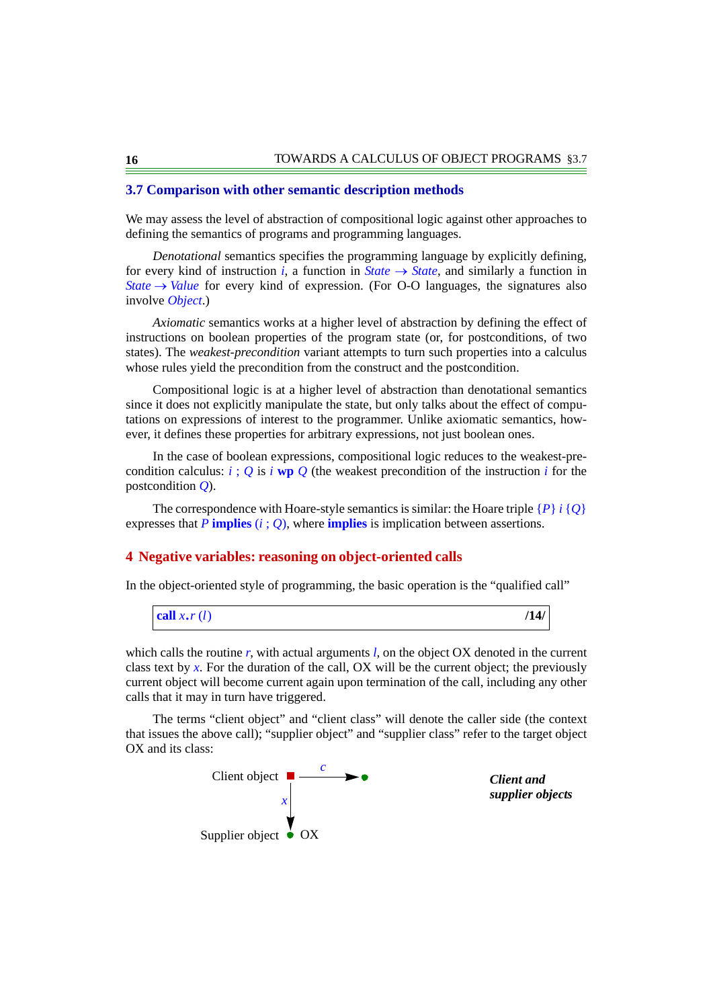## **3.7 Comparison with other semantic description methods**

We may assess the level of abstraction of compositional logic against other approaches to defining the semantics of programs and programming languages.

*Denotational* semantics specifies the programming language by explicitly defining, for every kind of instruction *i*, a function in *State*  $\rightarrow$  *State*, and similarly a function in *State*  $\rightarrow$  *Value* for every kind of expression. (For O-O languages, the signatures also involve *Object*.)

*Axiomatic* semantics works at a higher level of abstraction by defining the effect of instructions on boolean properties of the program state (or, for postconditions, of two states). The *weakest-precondition* variant attempts to turn such properties into a calculus whose rules yield the precondition from the construct and the postcondition.

Compositional logic is at a higher level of abstraction than denotational semantics since it does not explicitly manipulate the state, but only talks about the effect of computations on expressions of interest to the programmer. Unlike axiomatic semantics, however, it defines these properties for arbitrary expressions, not just boolean ones.

In the case of boolean expressions, compositional logic reduces to the weakest-precondition calculus:  $i$ ;  $Q$  is  $i$  **wp**  $Q$  (the weakest precondition of the instruction  $i$  for the postcondition *Q*).

The correspondence with Hoare-style semantics is similar: the Hoare triple {*P*} *i* {*Q*} expresses that  $\overline{P}$  **implies** (*i*;  $\overline{Q}$ ), where **implies** is implication between assertions.

#### <span id="page-15-0"></span>**4 Negative variables: reasoning on object-oriented calls**

In the object-oriented style of programming, the basic operation is the "qualified call"



which calls the routine *r*, with actual arguments *l*, on the object OX denoted in the current class text by *x*. For the duration of the call, OX will be the current object; the previously current object will become current again upon termination of the call, including any other calls that it may in turn have triggered.

The terms "client object" and "client class" will denote the caller side (the context that issues the above call); "supplier object" and "supplier class" refer to the target object OX and its class:



*Client and supplier objects*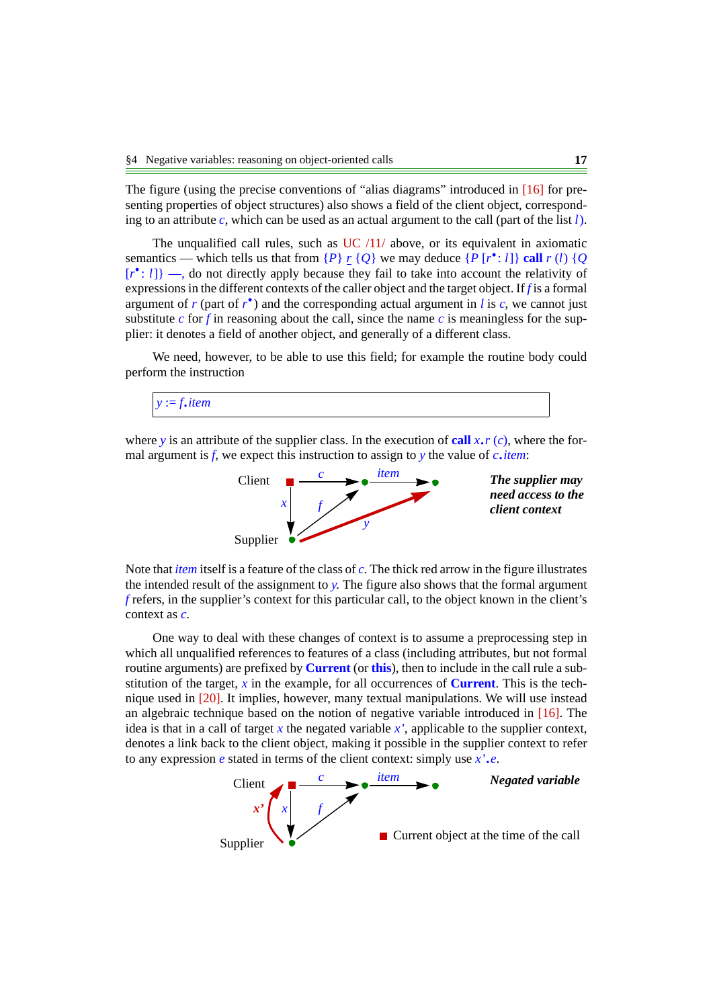The figure (using the precise conventions of "alias diagrams" introduced in [\[16\]](#page-32-1) for presenting properties of object structures) also shows a field of the client object, corresponding to an attribute *c*, which can be used as an actual argument to the call (part of the list *l*).

The unqualified call rules, such as  $UC/11/$  above, or its equivalent in axiomatic The unqualified call rules, such as UC /11/ above, or its equivalent in axiomatic semantics — which tells us that from  $\{P\}$  <u>*r*</u>  $\{Q\}$  we may deduce  $\{P[r^*:l]\}$  call  $r(l)$   $\{Q\}$  $[r^*: l]$  –, do not directly apply because they fail to take into account the relativity of ://emantics — which tells us that from  $\{P\} \underline{r} \{Q\}$  we may deduce  $\{P[r^*: l]\}$  call  $r(l) \{Q^*: l\}$  —, do not directly apply because they fail to take into account the relativity of expressions in the different contexts of the caller object and the target object. If *f* is a formal argument of  $r$  (part of  $r^*$ ) and the corresponding actual argument in *l* is  $c$ , we cannot just argument of  $r$  (part of  $r^*$ ) and the corresponding actual argument in l is c, we cannot just substitute  $c$  for  $f$  in reasoning about the call, since the name  $c$  is meaningless for the supplier: it denotes a field of another object, and generally of a different class.

We need, however, to be able to use this field; for example the routine body could perform the instruction

*<sup>y</sup>*:= *f*.*item*

where y is an attribute of the supplier class. In the execution of **call**  $x, r$  (*c*), where the formal argument is *f*, we expect this instruction to assign to *y* the value of *c*.*item*:



Note that *item* itself is a feature of the class of *c*. The thick red arrow in the figure illustrates the intended result of the assignment to *y*. The figure also shows that the formal argument *f* refers, in the supplier's context for this particular call, to the object known in the client's context as *c*.

One way to deal with these changes of context is to assume a preprocessing step in which all unqualified references to features of a class (including attributes, but not formal routine arguments) are prefixed by **Current** (or **this**), then to include in the call rule a substitution of the target,  $x$  in the example, for all occurrences of **Current**. This is the technique used in [\[20\]](#page-33-1). It implies, however, many textual manipulations. We will use instead an algebraic technique based on the notion of negative variable introduced in [\[16\]](#page-32-1). The idea is that in a call of target  $x$  the negated variable  $x'$ , applicable to the supplier context, denotes a link back to the client object, making it possible in the supplier context to refer to any expression *e* stated in terms of the client context: simply use *x'*.*e*.

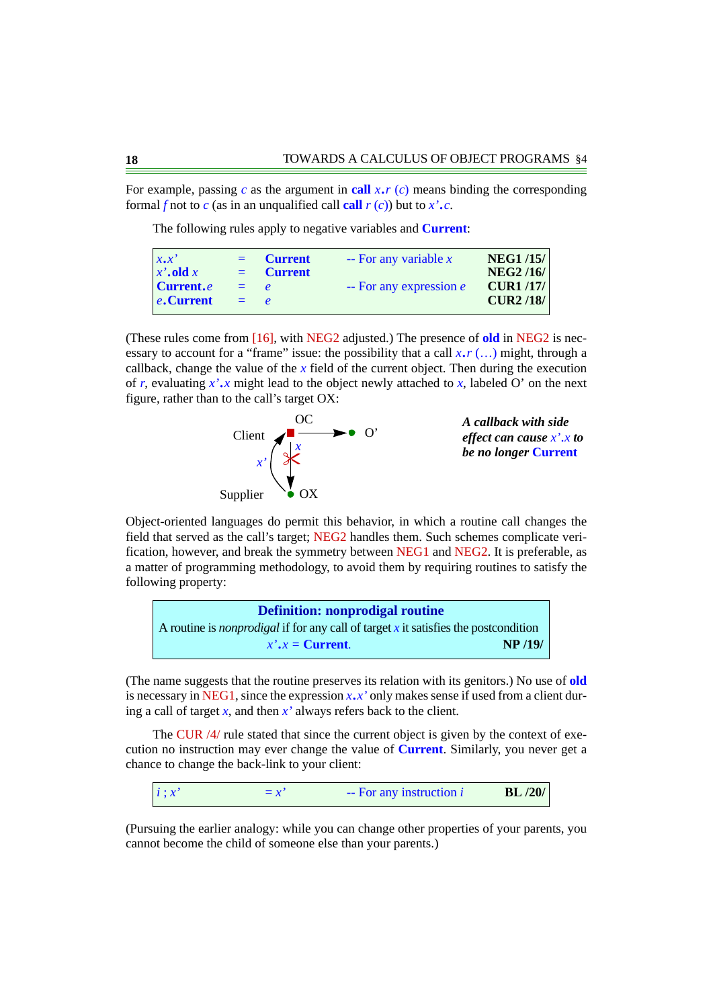For example, passing  $c$  as the argument in **call**  $x \cdot r$  (*c*) means binding the corresponding formal *f* not to *c* (as in an unqualified call call  $r(c)$ ) but to  $x^{\prime}$ .*c*.

The following rules apply to negative variables and **Current**:

<span id="page-17-4"></span><span id="page-17-2"></span><span id="page-17-1"></span><span id="page-17-0"></span>

| $x \cdot x'$<br>$x'$ <b>old</b> x |         | $=$ Current<br>$=$ Current | -- For any variable $x$  | <b>NEG1/15/</b><br><b>NEG2 /16/</b> |
|-----------------------------------|---------|----------------------------|--------------------------|-------------------------------------|
| Current.e                         | $=$ $e$ |                            | $-$ For any expression e | <b>CUR1/17/</b>                     |
| e.Current                         | $=$ $e$ |                            |                          | <b>CUR2/18/</b>                     |

(These rules come from [\[16\],](#page-32-1) with NEG2 adjusted.) The presence of **old** in NEG2 is necessary to account for a "frame" issue: the possibility that a call  $x, r$  (...) might, through a callback, change the value of the *x* field of the current object. Then during the execution of *r*, evaluating  $x^T$ . *x* might lead to the object newly attached to *x*, labeled O' on the next figure, rather than to the call's target OX:



*A callback with side effect can cause x'*.*x to be no longer* **Current**

Object-oriented languages do permit this behavior, in which a routine call changes the field that served as the call's target; NEG2 handles them. Such schemes complicate verification, however, and break the symmetry between NEG1 and NEG2. It is preferable, as a matter of programming methodology, to avoid them by requiring routines to satisfy the following property:

<span id="page-17-3"></span>

(The name suggests that the routine preserves its relation with its genitors.) No use of **old** is necessary in NEG1, since the expression  $x.x'$  only makes sense if used from a client during a call of target  $x$ , and then  $x'$  always refers back to the client.

The [CUR /4/](#page-11-3) rule stated that since the current object is given by the context of execution no instruction may ever change the value of **Current**. Similarly, you never get a chance to change the back-link to your client:

$$
i; x'
$$
 =  $x'$  -- For any instruction  $i$  **BL/20/**

(Pursuing the earlier analogy: while you can change other properties of your parents, you cannot become the child of someone else than your parents.)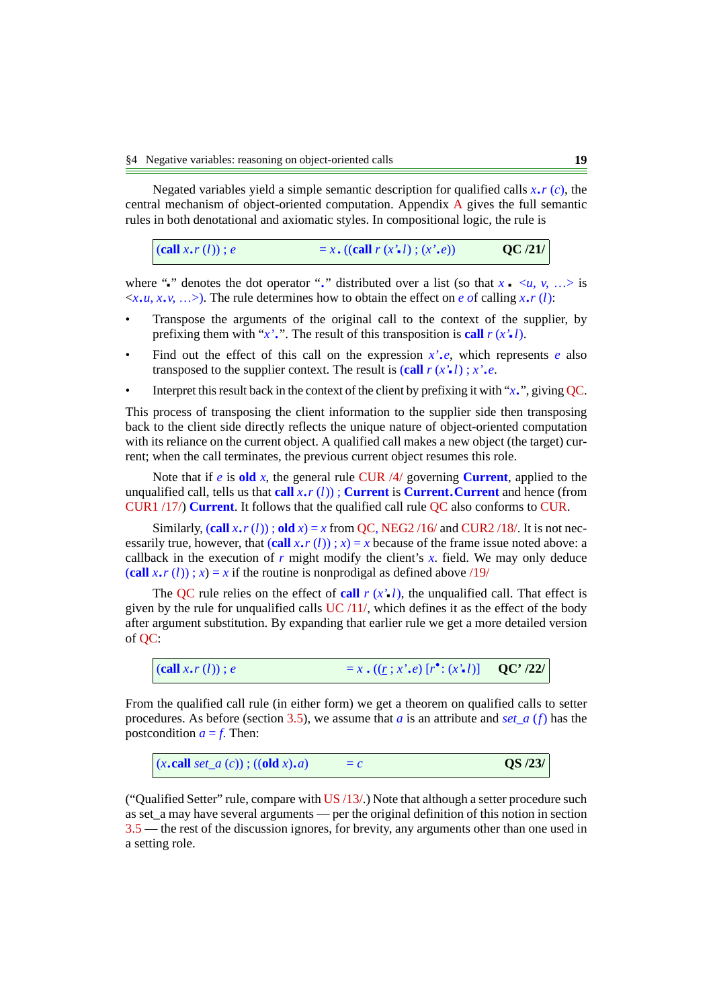Negated variables yield a simple semantic description for qualified calls *x*.*r* (*c*), the central mechanism of object-oriented computation. Appendix [A](#page-30-0) gives the full semantic rules in both denotational and axiomatic styles. In compositional logic, the rule is

<span id="page-18-0"></span> $(c \textbf{all } x, r(l))$ ; *e* = *x*. ((call  $r(x', l)$ ; (*x'*,*e*)) **QC** /21/

where "" denotes the dot operator "." distributed over a list (so that  $x - \langle u, v, ... \rangle$  is  $\langle x, u, x, v, \ldots \rangle$ . The rule determines how to obtain the effect on *e* of calling *x*, *r* (*l*):

- Transpose the arguments of the original call to the context of the supplier, by prefixing them with " $x'$ ". The result of this transposition is call  $r(x'$ .
- Find out the effect of this call on the expression *x'*.*e*, which represents *e* also transposed to the supplier context. The result is  $\left(\text{call } r\left(\textbf{x'}\textbf{.}l\right)\right); \textbf{x'}\textbf{.}e.$
- Interpret this result back in the context of the client by prefixing it with "*x*.", giving QC.

This process of transposing the client information to the supplier side then transposing back to the client side directly reflects the unique nature of object-oriented computation with its reliance on the current object. A qualified call makes a new object (the target) current; when the call terminates, the previous current object resumes this role.

Note that if *e* is **old** *x*, the general rule [CUR /4/](#page-11-3) governing **Current**, applied to the unqualified call, tells us that **call** *x*.*r* (*l*)) ; **Current** is **Current**.**Current** and hence (from [CUR1 /17/\)](#page-17-0) **Current**. It follows that the qualified call rule QC also conforms to CUR.

Similarly,  $(call x, r(l))$ ; old  $x$ ) = x from QC, NEG2/16/ and CUR2/18/. It is not necessarily true, however, that  $(\text{call } x, r(l))$ ;  $x$ ) = x because of the frame issue noted above: a callback in the execution of  $r$  might modify the client's  $x$ , field. We may only deduce  $(call x.r(l))$ ;  $x$ ) =  $x$  if the routine is nonprodigal as defined above [/19/](#page-17-3)

The QC rule relies on the effect of call  $r(x',l)$ , the unqualified call. That effect is given by the rule for unqualified calls [UC /11/,](#page-13-0) which defines it as the effect of the body after argument substitution. By expanding that earlier rule we get a more detailed version of QC:

$$
(\operatorname{call} x.r(l)); e \qquad \qquad = x \cdot ((\underline{r}; x', e) [r^* : (x' \cdot l)] \quad \text{QC'} / 22l
$$

From the qualified call rule (in either form) we get a theorem on qualified calls to setter procedures. As before (section [3.5](#page-13-1)), we assume that *a* is an attribute and *set\_a* (*f*) has the postcondition  $a = f$ . Then:

<span id="page-18-1"></span>
$$
(x. \text{call set\_a}(c)) ; ((\text{old } x).a) = c \qquad \qquad \text{QS } / 23/
$$

("Qualified Setter" rule, compare with US  $/13/$ ) Note that although a setter procedure such as set\_a may have several arguments — per the original definition of this notion in section [3.5](#page-13-1) — the rest of the discussion ignores, for brevity, any arguments other than one used in a setting role.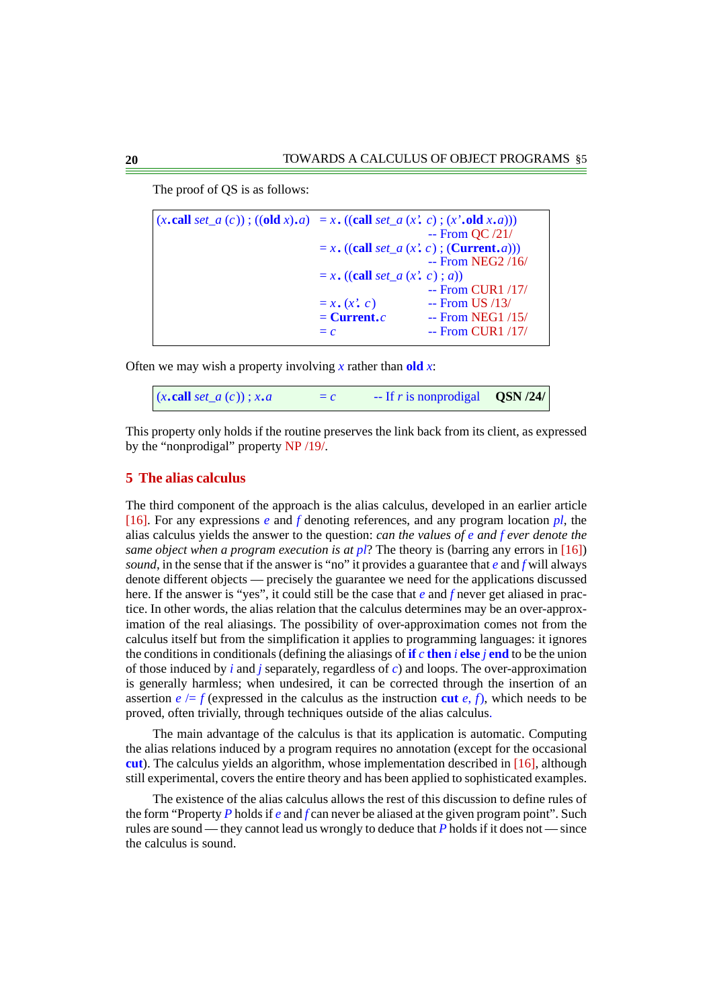The proof of QS is as follows:

 $(x.\text{call set }a(c))$  ;  $((\text{old }x).a) = x. ((\text{call set }a(x', c))$  ;  $(x'.\text{old }x.a))$ -- From [QC /21/](#page-18-0) <sup>=</sup> *x*. ((**call** *set\_a* (*x'*. *<sup>c</sup>*) ; (**Current**.*a*))) -- From [NEG2 /16/](#page-17-1) <sup>=</sup> *x*. ((**call** *set\_a* (*x'*. *<sup>c</sup>*) ; *a*)) -- From [CUR1 /17/](#page-17-0)  $= x \cdot (x' \cdot c)$  -- From [US /13/](#page-13-2)  $=$  **Current.***c* -- From [NEG1 /15/](#page-17-4)  $= c$  -- From [CUR1 /17/](#page-17-0)

Often we may wish a property involving *x* rather than **old** *x*:

 $(x.\text{call set }a(c))$ ;  $x.a$  = *c* -- If *r* is nonprodigal **QSN /24/** 

This property only holds if the routine preserves the link back from its client, as expressed by the "nonprodigal" property [NP /19/](#page-17-3).

### <span id="page-19-0"></span>**5 The alias calculus**

The third component of the approach is the alias calculus, developed in an earlier article [\[16\]](#page-32-1). For any expressions *e* and *f* denoting references, and any program location *pl*, the alias calculus yields the answer to the question: *can the values of e and f ever denote the same object when a program execution is at pl*? The theory is (barring any errors in [\[16\]\)](#page-32-1) *sound*, in the sense that if the answer is "no" it provides a guarantee that *e* and *f* will always denote different objects — precisely the guarantee we need for the applications discussed here. If the answer is "yes", it could still be the case that *e* and *f* never get aliased in practice. In other words, the alias relation that the calculus determines may be an over-approximation of the real aliasings. The possibility of over-approximation comes not from the calculus itself but from the simplification it applies to programming languages: it ignores the conditions in conditionals (defining the aliasings of **if** *c* **then** *i* **else** *j* **end** to be the union of those induced by *i* and *j* separately, regardless of *c*) and loops. The over-approximation is generally harmless; when undesired, it can be corrected through the insertion of an assertion  $e / f$  (expressed in the calculus as the instruction cut *e*, *f*), which needs to be proved, often trivially, through techniques outside of the alias calculus.

The main advantage of the calculus is that its application is automatic. Computing the alias relations induced by a program requires no annotation (except for the occasional **cut**). The calculus yields an algorithm, whose implementation described in [\[16\]](#page-32-1), although still experimental, covers the entire theory and has been applied to sophisticated examples.

The existence of the alias calculus allows the rest of this discussion to define rules of the form "Property *P* holds if *e* and *f* can never be aliased at the given program point". Such rules are sound — they cannot lead us wrongly to deduce that *P* holds if it does not — since the calculus is sound.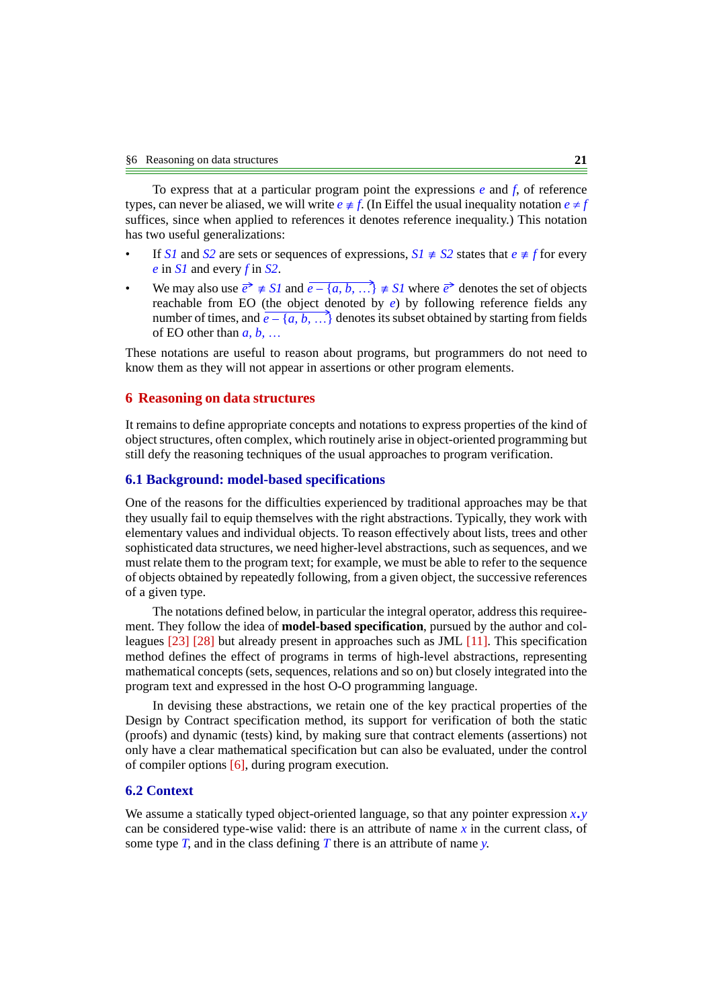To express that at a particular program point the expressions *e* and *f*, of reference types, can never be aliased, we will write  $e \neq f$ . (In Eiffel the usual inequality notation  $e \neq f$ suffices, since when applied to references it denotes reference inequality.) This notation has two useful generalizations:

- If *S1* and *S2* are sets or sequences of expressions,  $SI \neq S2$  states that  $e \neq f$  for every *e* in *S1* and every *f* in *S2*.
- We may also use  $\overrightarrow{e} \neq S1$  and  $\overrightarrow{e} \{a, b, ...\} \neq S1$  where  $\overrightarrow{e}$  denotes the set of objects reachable from EO (the object denoted by *e*) by following reference fields any number of times, and  $\overline{e} - \{a, b, \ldots\}$  denotes its subset obtained by starting from fields of EO other than  $a, b, \ldots$

These notations are useful to reason about programs, but programmers do not need to know them as they will not appear in assertions or other program elements.

#### <span id="page-20-0"></span>**6 Reasoning on data structures**

It remains to define appropriate concepts and notations to express properties of the kind of object structures, often complex, which routinely arise in object-oriented programming but still defy the reasoning techniques of the usual approaches to program verification.

#### **6.1 Background: model-based specifications**

One of the reasons for the difficulties experienced by traditional approaches may be that they usually fail to equip themselves with the right abstractions. Typically, they work with elementary values and individual objects. To reason effectively about lists, trees and other sophisticated data structures, we need higher-level abstractions, such as sequences, and we must relate them to the program text; for example, we must be able to refer to the sequence of objects obtained by repeatedly following, from a given object, the successive references of a given type.

The notations defined below, in particular the integral operator, address this requireement. They follow the idea of **model-based specification**, pursued by the author and colleagues [\[23\]](#page-33-2) [\[28\]](#page-33-3) but already present in approaches such as JML [\[11\]](#page-32-4). This specification method defines the effect of programs in terms of high-level abstractions, representing mathematical concepts (sets, sequences, relations and so on) but closely integrated into the program text and expressed in the host O-O programming language.

In devising these abstractions, we retain one of the key practical properties of the Design by Contract specification method, its support for verification of both the static (proofs) and dynamic (tests) kind, by making sure that contract elements (assertions) not only have a clear mathematical specification but can also be evaluated, under the control of compiler options [\[6\],](#page-32-5) during program execution.

#### **6.2 Context**

We assume a statically typed object-oriented language, so that any pointer expression *x*.*<sup>y</sup>* can be considered type-wise valid: there is an attribute of name *x* in the current class, of some type *T*, and in the class defining *T* there is an attribute of name *y*.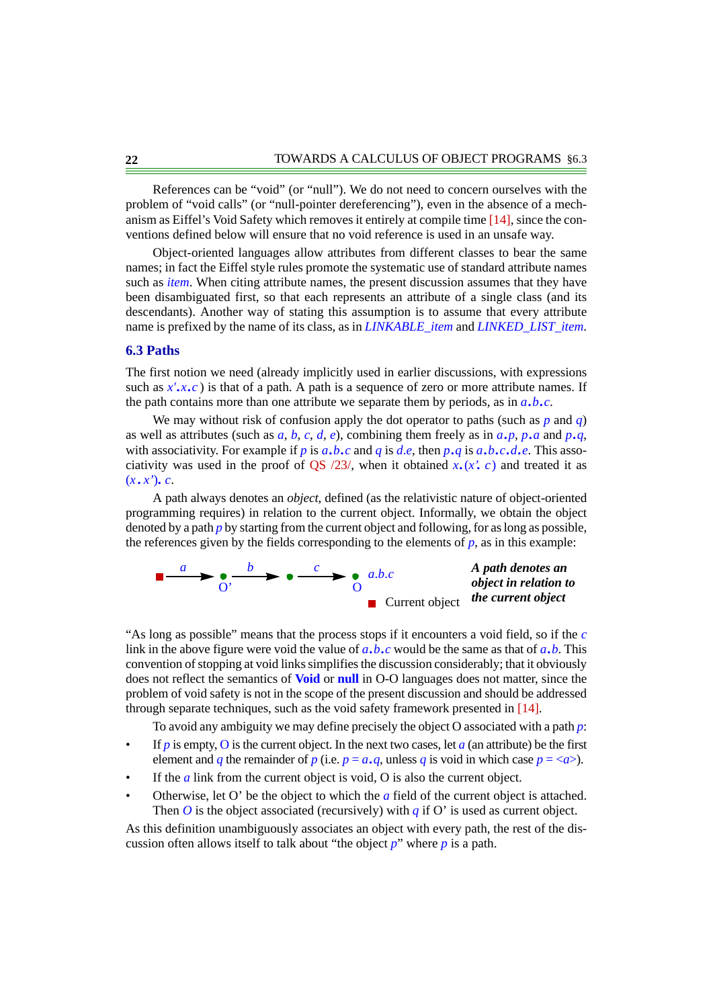References can be "void" (or "null"). We do not need to concern ourselves with the problem of "void calls" (or "null-pointer dereferencing"), even in the absence of a mechanism as Eiffel's Void Safety which removes it entirely at compile time [\[14\],](#page-32-3) since the conventions defined below will ensure that no void reference is used in an unsafe way.

Object-oriented languages allow attributes from different classes to bear the same names; in fact the Eiffel style rules promote the systematic use of standard attribute names such as *item*. When citing attribute names, the present discussion assumes that they have been disambiguated first, so that each represents an attribute of a single class (and its descendants). Another way of stating this assumption is to assume that every attribute name is prefixed by the name of its class, as in *LINKABLE\_item* and *LINKED\_LIST\_item*.

#### <span id="page-21-0"></span>**6.3 Paths**

The first notion we need (already implicitly used in earlier discussions, with expressions such as  $x'$ .*x*.*c*) is that of a path. A path is a sequence of zero or more attribute names. If the path contains more than one attribute we separate them by periods, as in  $a, b, c$ .

We may without risk of confusion apply the dot operator to paths (such as *p* and *q*) as well as attributes (such as *a*, *b*, *c*, *d*, *e*), combining them freely as in *a*.*p*, *p*.*a* and *p*.*q*, with associativity. For example if *p* is *a*.*b*.*c* and *q* is *d*.*e*, then *p*.*q* is *a*.*b*.*c*.*d*.*e*. This associativity was used in the proof of QS  $/23/$ , when it obtained *x*.(*x*<sup>2</sup>, *c*) and treated it as  $(x, x')$ . *c*.

A path always denotes an *object*, defined (as the relativistic nature of object-oriented programming requires) in relation to the current object. Informally, we obtain the object denoted by a path *p* by starting from the current object and following, for as long as possible, the references given by the fields corresponding to the elements of  $p$ , as in this example:



"As long as possible" means that the process stops if it encounters a void field, so if the *c* link in the above figure were void the value of  $\overline{a}$ ,  $\overline{b}$ ,  $\overline{c}$  would be the same as that of  $\overline{a}$ ,  $\overline{b}$ . This convention of stopping at void links simplifies the discussion considerably; that it obviously does not reflect the semantics of **Void** or **null** in O-O languages does not matter, since the problem of void safety is not in the scope of the present discussion and should be addressed through separate techniques, such as the void safety framework presented in [\[14\]](#page-32-3).

To avoid any ambiguity we may define precisely the object O associated with a path *p*:

- If *p* is empty, O is the current object. In the next two cases, let *a* (an attribute) be the first element and *q* the remainder of *p* (i.e.  $p = a \cdot q$ , unless *q* is void in which case  $p = \langle a \rangle$ ).
- If the *a* link from the current object is void, O is also the current object.
- Otherwise, let O' be the object to which the *a* field of the current object is attached. Then  $\overline{O}$  is the object associated (recursively) with  $q$  if  $O'$  is used as current object.

As this definition unambiguously associates an object with every path, the rest of the discussion often allows itself to talk about "the object *p*" where *p* is a path.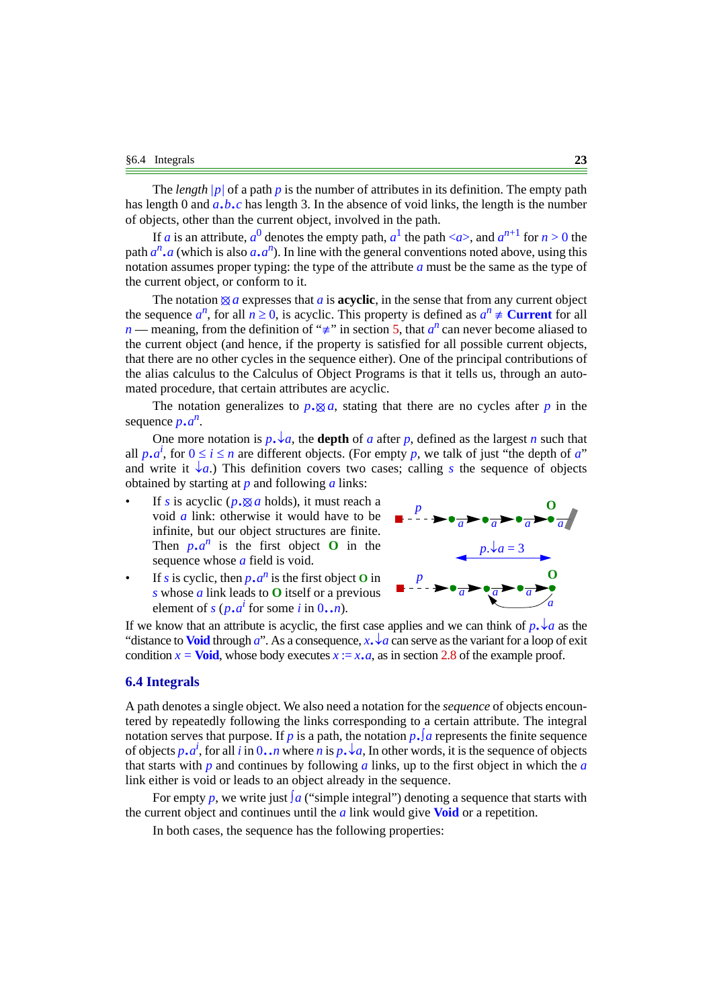The *length*  $|p|$  of a path  $p$  is the number of attributes in its definition. The empty path has length 0 and *a*.*b*.*c* has length 3. In the absence of void links, the length is the number of objects, other than the current object, involved in the path.

If *a* is an attribute,  $a^0$  denotes the empty path,  $a^1$  the path  $\langle a \rangle$ , and  $a^{n+1}$  for  $n > 0$  the path  $a^n$ , *a* (which is also *a*,  $a^n$ ). In line with the general conventions noted above, using this notation assumes proper typing: the type of the attribute *a* must be the same as the type of the current object, or conform to it.

The notation  $\otimes a$  expresses that *a* is **acyclic**, in the sense that from any current object the sequence  $a^n$ , for all  $n \ge 0$ , is acyclic. This property is defined as  $a^n \ne 0$ **Current** for all *n* — meaning, from the definition of " $\neq$ " in section [5](#page-19-0), that  $a^n$  can never become aliased to the current object (and hence, if the property is satisfied for all possible current objects, that there are no other cycles in the sequence either). One of the principal contributions of the alias calculus to the Calculus of Object Programs is that it tells us, through an automated procedure, that certain attributes are acyclic.

The notation generalizes to  $p \cdot \otimes a$ , stating that there are no cycles after p in the sequence *p*.*a<sup>n</sup>* .

One more notation is  $p \cdot \n\sqrt{a}$ , the **depth** of *a* after *p*, defined as the largest *n* such that all  $p \cdot a^i$ , for  $0 \le i \le n$  are different objects. (For empty  $p$ , we talk of just "the depth of *a*" and write it  $\downarrow a$ .) This definition covers two cases; calling *s* the sequence of objects obtained by starting at *p* and following *a* links:

- If *s* is acyclic  $(p \cdot \otimes a \text{ holds})$ , it must reach a void *a* link: otherwise it would have to be infinite, but our object structures are finite. Then  $p \cdot a^n$  is the first object **O** in the sequence whose *a* field is void.
- If *s* is cyclic, then  $p \cdot a^n$  is the first object **O** in *s* whose *a* link leads to **O** itself or a previous element of  $s (p.a^i$  for some *i* in 0..*n*).



If we know that an attribute is acyclic, the first case applies and we can think of  $p, \lambda q$  as the "distance to **Void** through *a*". As a consequence,  $x \cdot \sqrt{a}$  can serve as the variant for a loop of exit condition  $x = \text{Void}$ , whose body executes  $x := x \cdot a$ , as in section [2.8](#page-9-1) of the example proof.

#### **6.4 Integrals**

A path denotes a single object. We also need a notation for the *sequence* of objects encountered by repeatedly following the links corresponding to a certain attribute. The integral notation serves that purpose. If *p* is a path, the notation  $p \cdot a$  represents the finite sequence of objects  $p \cdot a^i$ , for all *i* in  $0 \cdot n$  where *n* is  $p \cdot \sqrt{a}$ , In other words, it is the sequence of objects that starts with *p* and continues by following *a* links, up to the first object in which the *a*  link either is void or leads to an object already in the sequence.

For empty p, we write just  $a$  ("simple integral") denoting a sequence that starts with the current object and continues until the  $a$  link would give **Void** or a repetition.

In both cases, the sequence has the following properties: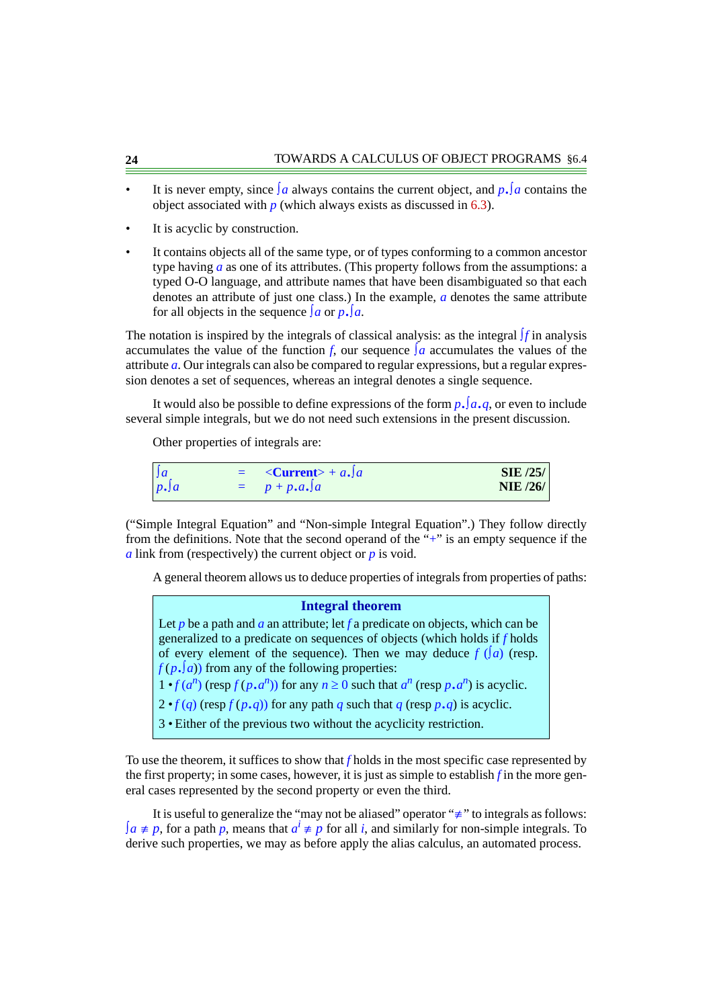- It is never empty, since  $a$  always contains the current object, and  $p$ ,  $a$  contains the object associated with  $p$  (which always exists as discussed in  $6.3$ ).
- It is acyclic by construction.
- It contains objects all of the same type, or of types conforming to a common ancestor type having *a* as one of its attributes. (This property follows from the assumptions: a typed O-O language, and attribute names that have been disambiguated so that each denotes an attribute of just one class.) In the example, *a* denotes the same attribute for all objects in the sequence  $\int a \text{ or } p \cdot \int a$ .

The notation is inspired by the integrals of classical analysis: as the integral  $\int f$  in analysis accumulates the value of the function *f*, our sequence  $\int_a^b a$  accumulates the values of the attribute *a*. Our integrals can also be compared to regular expressions, but a regular expression denotes a set of sequences, whereas an integral denotes a single sequence.

It would also be possible to define expressions of the form  $p \cdot a \cdot a$ , or even to include several simple integrals, but we do not need such extensions in the present discussion.

Other properties of integrals are:

<span id="page-23-0"></span>
$$
\begin{array}{rcl}\n\int a &=< \text{Current} > + a.\int a & & \text{SIE /25/}\\
p.\int a &=& p + p.a.\int a & & \text{NIE /26/}\n\end{array}
$$

("Simple Integral Equation" and "Non-simple Integral Equation".) They follow directly from the definitions. Note that the second operand of the "+" is an empty sequence if the *a* link from (respectively) the current object or *p* is void.

A general theorem allows us to deduce properties of integrals from properties of paths:

## **Integral theorem**

Let  $p$  be a path and  $q$  an attribute; let  $f$  a predicate on objects, which can be generalized to a predicate on sequences of objects (which holds if *f* holds of every element of the sequence). Then we may deduce  $f(\bar{a})$  (resp.  $f(p,\lceil a \rceil)$  from any of the following properties:  $1 \cdot f(a^n)$  (resp  $f(p, a^n)$ ) for any  $n \ge 0$  such that  $a^n$  (resp  $p, a^n$ ) is acyclic.  $2 \cdot f(q)$  (resp  $f(p,q)$ ) for any path *q* such that *q* (resp  $p,q$ ) is acyclic. 3 • Either of the previous two without the acyclicity restriction.

To use the theorem, it suffices to show that *f* holds in the most specific case represented by the first property; in some cases, however, it is just as simple to establish *f* in the more general cases represented by the second property or even the third.

It is useful to generalize the "may not be aliased" operator " $\neq$ " to integrals as follows:  $a \neq p$ , for a path *p*, means that  $a^i \neq p$  for all *i*, and similarly for non-simple integrals. To derive such properties, we may as before apply the alias calculus, an automated process.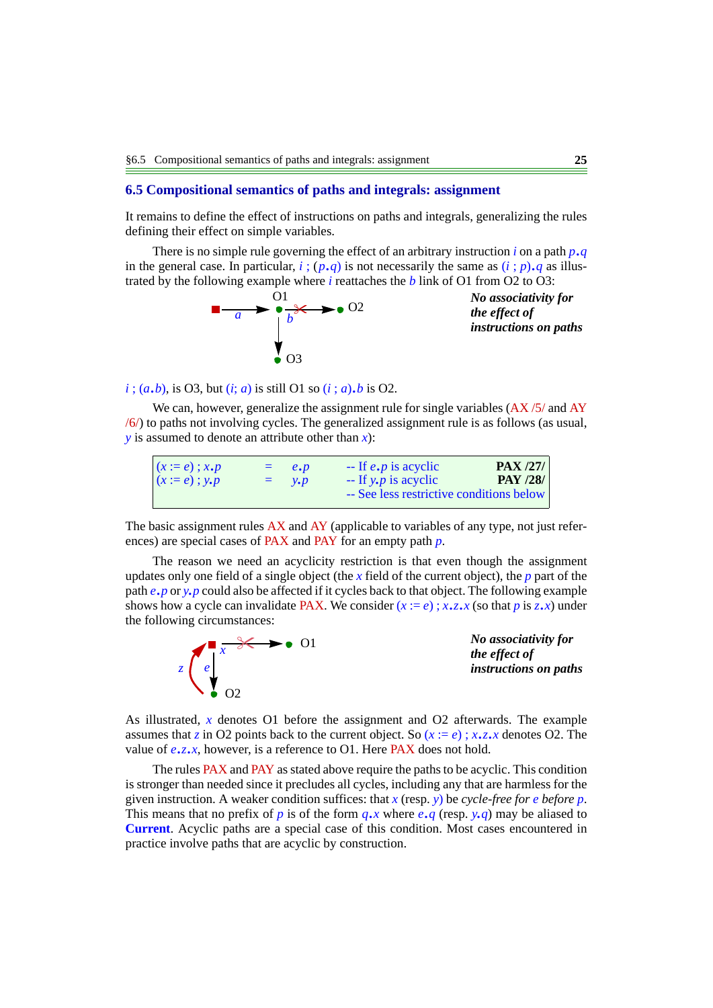### **6.5 Compositional semantics of paths and integrals: assignment**

It remains to define the effect of instructions on paths and integrals, generalizing the rules defining their effect on simple variables.

There is no simple rule governing the effect of an arbitrary instruction *i* on a path *p*.*<sup>q</sup>* in the general case. In particular,  $i$ ;  $(p,q)$  is not necessarily the same as  $(i, p)$ , q as illustrated by the following example where *i* reattaches the *b* link of O1 from O2 to O3:



*No associativity for the effect of instructions on paths*

 $i$ ;  $(a,b)$ , is O3, but  $(i; a)$  is still O1 so  $(i; a)$ .*b* is O2.

We can, however, generalize the assignment rule for single variables  $(AX/5)$  and [AY](#page-11-0)  $/6$ ) to paths not involving cycles. The generalized assignment rule is as follows (as usual,  $y$  is assumed to denote an attribute other than  $x$ ):

|--|

The basic assignment rules AX and AY (applicable to variables of any type, not just references) are special cases of PAX and PAY for an empty path *p*.

The reason we need an acyclicity restriction is that even though the assignment updates only one field of a single object (the  $x$  field of the current object), the  $p$  part of the path *e*.*p* or *y*.*p* could also be affected if it cycles back to that object. The following example shows how a cycle can invalidate PAX. We consider  $(x := e)$ ;  $x, z, x$  (so that p is  $z, x$ ) under the following circumstances:



As illustrated, *x* denotes O1 before the assignment and O2 afterwards. The example assumes that *z* in O2 points back to the current object. So  $(x := e)$ ;  $x \cdot z \cdot x$  denotes O2. The value of *e*.*z*.*x*, however, is a reference to O1. Here PAX does not hold.

The rules PAX and PAY as stated above require the paths to be acyclic. This condition is stronger than needed since it precludes all cycles, including any that are harmless for the given instruction. A weaker condition suffices: that *x* (resp. *y*) be *cycle-free for e before p*. This means that no prefix of *p* is of the form  $q.x$  where  $e,q$  (resp. *y,q*) may be aliased to **Current**. Acyclic paths are a special case of this condition. Most cases encountered in practice involve paths that are acyclic by construction.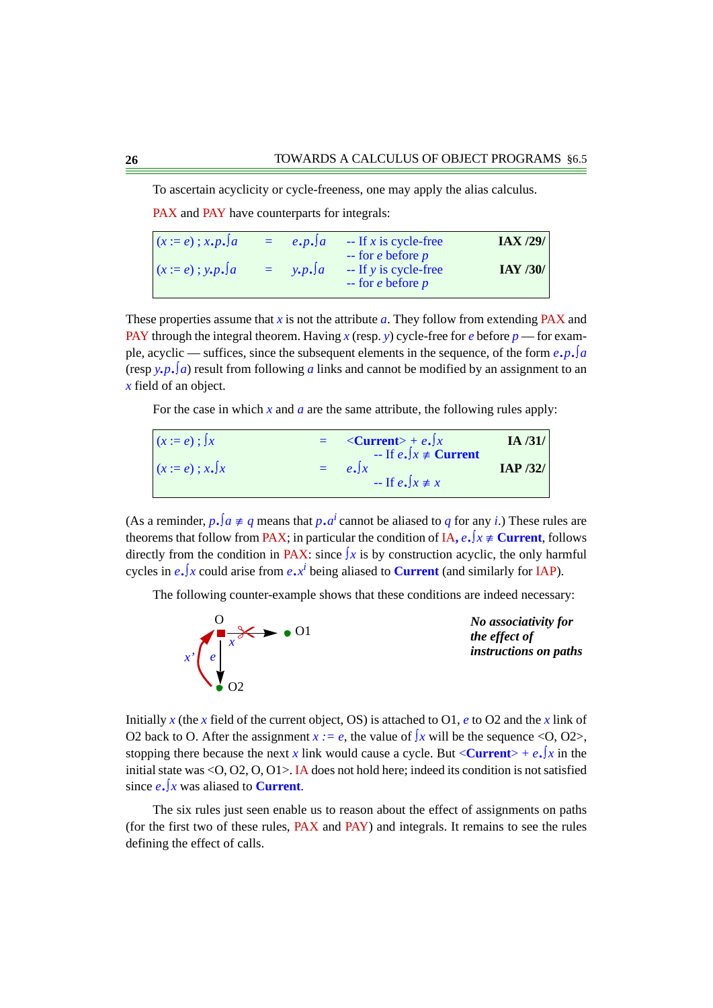To ascertain acyclicity or cycle-freeness, one may apply the alias calculus.

PAX and PAY have counterparts for integrals:

<span id="page-25-1"></span><span id="page-25-0"></span>

| $(x := e)$ ; x, p, $\int a$ | $=$ $-$ | e.p. | $-$ If x is cycle-free                                                                         | IAX/29/ |
|-----------------------------|---------|------|------------------------------------------------------------------------------------------------|---------|
| $(x := e)$ ; y.p. $\int a$  | $=$ .   | v.p. | $-$ for <i>e</i> before <i>p</i><br>$-$ If y is cycle-free<br>$-$ for <i>e</i> before <i>p</i> | IAY/30/ |

These properties assume that *x* is not the attribute *a*. They follow from extending PAX and PAY through the integral theorem. Having *x* (resp. *y*) cycle-free for *e* before *p* — for example, acyclic — suffices, since the subsequent elements in the sequence, of the form  $e.p.$  $(\text{resp } y, p, a)$  result from following *a* links and cannot be modified by an assignment to an *x* field of an object.

For the case in which  $x$  and  $a$  are the same attribute, the following rules apply:

| $(x := e)$ ; $\int x$     | $=$ < <b>Current</b> > + e. $\int x$                                                     | IA/31/  |
|---------------------------|------------------------------------------------------------------------------------------|---------|
| $(x:=e); x.\overline{1}x$ | -- If $e \cdot \int x \neq$ Current<br>$=$ e. $\int x$<br>$-$ If $e \cdot \int x \neq x$ | IAP/32/ |

(As a reminder,  $p \cdot \int a \neq q$  means that  $p \cdot a^i$  cannot be aliased to  $q$  for any *i*.) These rules are theorems that follow from PAX; in particular the condition of IA,  $e \cdot \int x \neq$  Current, follows directly from the condition in PAX: since  $\int x$  is by construction acyclic, the only harmful cycles in  $e$ .  $\int x$  could arise from  $e$ .  $x^i$  being aliased to **Current** (and similarly for IAP).

The following counter-example shows that these conditions are indeed necessary:



Initially *x* (the *x* field of the current object, OS) is attached to O1, *e* to O2 and the *x* link of O2 back to O. After the assignment  $x := e$ , the value of  $\int x$  will be the sequence < O, O2>, stopping there because the next *x* link would cause a cycle. But  $\leq$  **Current** $>$  +  $e$ ,  $\int x$  in the initial state was <O, O2, O, O1>. IA does not hold here; indeed its condition is not satisfied since *e*.*x* was aliased to **Current**.

The six rules just seen enable us to reason about the effect of assignments on paths (for the first two of these rules, PAX and PAY) and integrals. It remains to see the rules defining the effect of calls.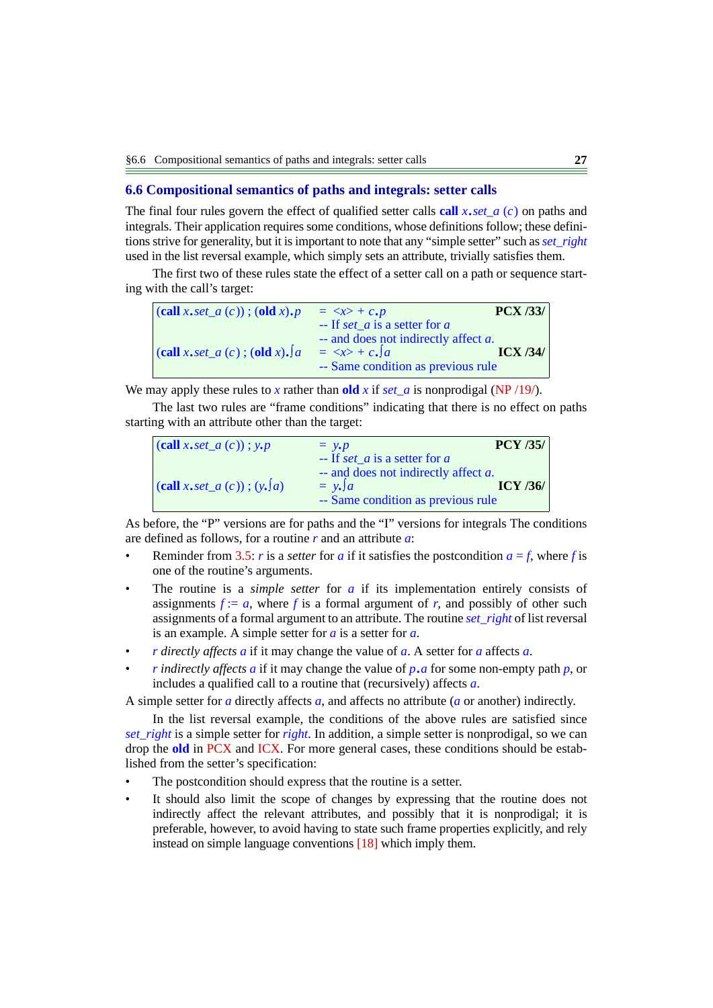#### **6.6 Compositional semantics of paths and integrals: setter calls**

The final four rules govern the effect of qualified setter calls **call** *x*.*set\_a* (*c*) on paths and integrals. Their application requires some conditions, whose definitions follow; these definitions strive for generality, but it is important to note that any "simple setter" such as *set\_right* used in the list reversal example, which simply sets an attribute, trivially satisfies them.

The first two of these rules state the effect of a setter call on a path or sequence starting with the call's target:

<span id="page-26-0"></span>

| $(call x.set_a(c))$ ; $(old x).p$                                   | $= \langle x \rangle + c \cdot p$    | <b>PCX /33/</b> |
|---------------------------------------------------------------------|--------------------------------------|-----------------|
|                                                                     | -- If set $a$ is a setter for $a$    |                 |
|                                                                     | -- and does not indirectly affect a. |                 |
| $\int \text{call } x \cdot set_a(c)$ ; $\text{old } x \cdot \int a$ | $= \langle x \rangle + c$            | ICX/34/         |
|                                                                     | -- Same condition as previous rule   |                 |

We may apply these rules to x rather than old x if  $set_a$  is nonprodigal (NP/19/).

The last two rules are "frame conditions" indicating that there is no effect on paths starting with an attribute other than the target:

| $= v \cdot p$ | <b>PCY /35/</b>                                                                                                             |
|---------------|-----------------------------------------------------------------------------------------------------------------------------|
|               |                                                                                                                             |
|               |                                                                                                                             |
|               | ICY/36/                                                                                                                     |
|               |                                                                                                                             |
|               | -- If set_a is a setter for a<br>-- and does not indirectly affect a.<br>$= \sqrt{a}$<br>-- Same condition as previous rule |

As before, the "P" versions are for paths and the "I" versions for integrals The conditions are defined as follows, for a routine *r* and an attribute *a*:

- Reminder from [3.5](#page-13-1): *r* is a *setter* for *a* if it satisfies the postcondition  $a = f$ , where f is one of the routine's arguments.
- The routine is a *simple setter* for *a* if its implementation entirely consists of assignments  $f = a$ , where f is a formal argument of r, and possibly of other such assignments of a formal argument to an attribute. The routine *set\_right* of list reversal is an example. A simple setter for *a* is a setter for *a*.
- *r directly affects a* if it may change the value of *a*. A setter for *a* affects *a*.
- *r indirectly affects <sup>a</sup>* if it may change the value of *p*.*a* for some non-empty path *p*, or includes a qualified call to a routine that (recursively) affects *a*.

A simple setter for *a* directly affects *a*, and affects no attribute (*a* or another) indirectly.

In the list reversal example, the conditions of the above rules are satisfied since *set right* is a simple setter for *right*. In addition, a simple setter is nonprodigal, so we can drop the **old** in PCX and ICX. For more general cases, these conditions should be established from the setter's specification:

- The postcondition should express that the routine is a setter.
- It should also limit the scope of changes by expressing that the routine does not indirectly affect the relevant attributes, and possibly that it is nonprodigal; it is preferable, however, to avoid having to state such frame properties explicitly, and rely instead on simple language conventions [\[18\]](#page-33-4) which imply them.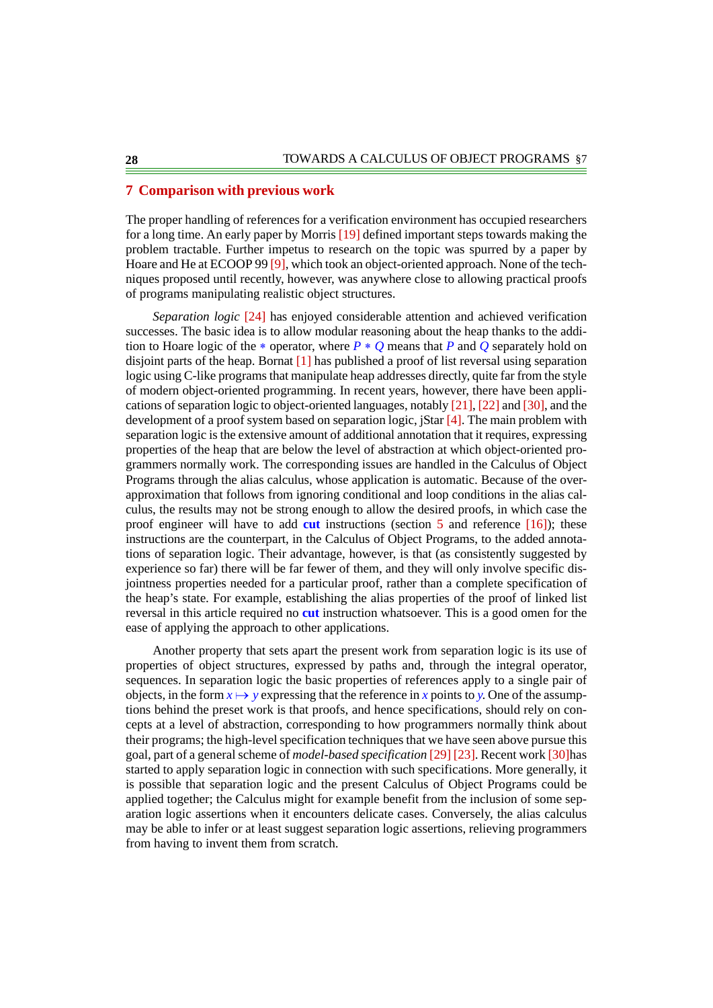### <span id="page-27-0"></span>**7 Comparison with previous work**

The proper handling of references for a verification environment has occupied researchers for a long time. An early paper by Morris [\[19\]](#page-33-5) defined important steps towards making the problem tractable. Further impetus to research on the topic was spurred by a paper by Hoare and He at ECOOP 99 [\[9\]](#page-32-6), which took an object-oriented approach. None of the techniques proposed until recently, however, was anywhere close to allowing practical proofs of programs manipulating realistic object structures.

*Separation logic* [\[24\]](#page-33-6) has enjoyed considerable attention and achieved verification successes. The basic idea is to allow modular reasoning about the heap thanks to the addition to Hoare logic of the  $*$  operator, where  $P * Q$  means that *P* and *Q* separately hold on disjoint parts of the heap. Bornat [\[1\]](#page-31-0) has published a proof of list reversal using separation logic using C-like programs that manipulate heap addresses directly, quite far from the style of modern object-oriented programming. In recent years, however, there have been applications of separation logic to object-oriented languages, notably [\[21\],](#page-33-7) [\[22\]](#page-33-8) and [\[30\],](#page-33-0) and the development of a proof system based on separation logic, jStar [\[4\]](#page-32-7). The main problem with separation logic is the extensive amount of additional annotation that it requires, expressing properties of the heap that are below the level of abstraction at which object-oriented programmers normally work. The corresponding issues are handled in the Calculus of Object Programs through the alias calculus, whose application is automatic. Because of the overapproximation that follows from ignoring conditional and loop conditions in the alias calculus, the results may not be strong enough to allow the desired proofs, in which case the proof engineer will have to add **cut** instructions (section [5](#page-19-0) and reference [\[16\]](#page-32-1)); these instructions are the counterpart, in the Calculus of Object Programs, to the added annotations of separation logic. Their advantage, however, is that (as consistently suggested by experience so far) there will be far fewer of them, and they will only involve specific disjointness properties needed for a particular proof, rather than a complete specification of the heap's state. For example, establishing the alias properties of the proof of linked list reversal in this article required no **cut** instruction whatsoever. This is a good omen for the ease of applying the approach to other applications.

Another property that sets apart the present work from separation logic is its use of properties of object structures, expressed by paths and, through the integral operator, sequences. In separation logic the basic properties of references apply to a single pair of objects, in the form  $x \mapsto y$  expressing that the reference in *x* points to *y*. One of the assumptions behind the preset work is that proofs, and hence specifications, should rely on concepts at a level of abstraction, corresponding to how programmers normally think about their programs; the high-level specification techniques that we have seen above pursue this goal, part of a general scheme of *model-based specification* [\[29\]](#page-33-9) [\[23\].](#page-33-2) Recent work [\[30\]h](#page-33-0)as started to apply separation logic in connection with such specifications. More generally, it is possible that separation logic and the present Calculus of Object Programs could be applied together; the Calculus might for example benefit from the inclusion of some separation logic assertions when it encounters delicate cases. Conversely, the alias calculus may be able to infer or at least suggest separation logic assertions, relieving programmers from having to invent them from scratch.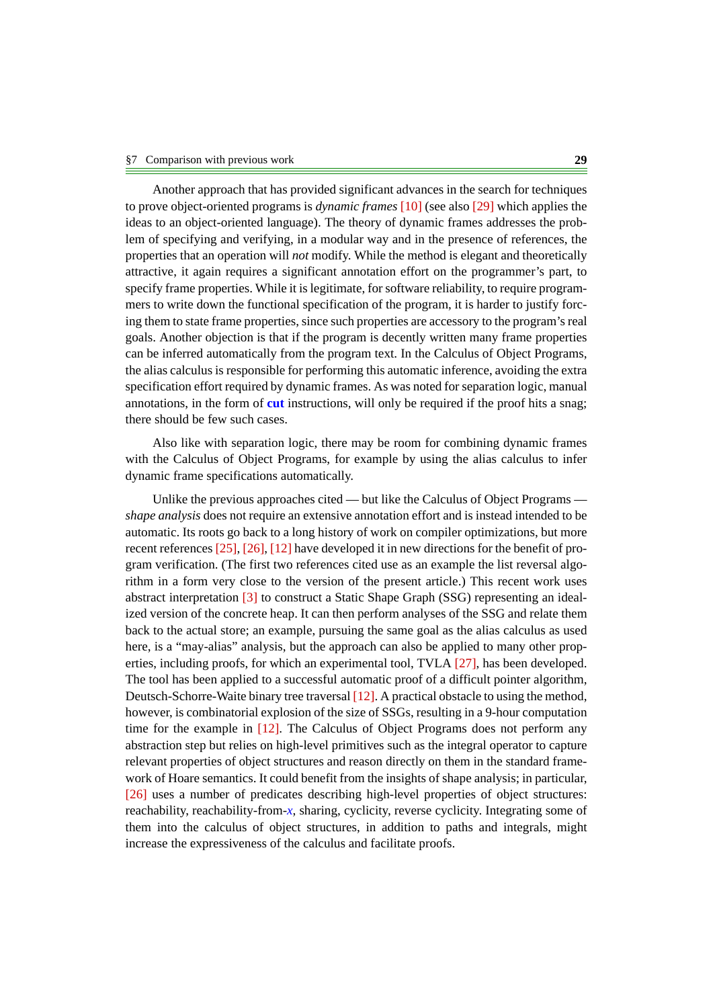Another approach that has provided significant advances in the search for techniques to prove object-oriented programs is *dynamic frames* [\[10\]](#page-32-8) (see also [\[29\]](#page-33-9) which applies the ideas to an object-oriented language). The theory of dynamic frames addresses the problem of specifying and verifying, in a modular way and in the presence of references, the properties that an operation will *not* modify. While the method is elegant and theoretically attractive, it again requires a significant annotation effort on the programmer's part, to specify frame properties. While it is legitimate, for software reliability, to require programmers to write down the functional specification of the program, it is harder to justify forcing them to state frame properties, since such properties are accessory to the program's real goals. Another objection is that if the program is decently written many frame properties can be inferred automatically from the program text. In the Calculus of Object Programs, the alias calculus is responsible for performing this automatic inference, avoiding the extra specification effort required by dynamic frames. As was noted for separation logic, manual annotations, in the form of **cut** instructions, will only be required if the proof hits a snag; there should be few such cases.

Also like with separation logic, there may be room for combining dynamic frames with the Calculus of Object Programs, for example by using the alias calculus to infer dynamic frame specifications automatically.

Unlike the previous approaches cited — but like the Calculus of Object Programs *shape analysis* does not require an extensive annotation effort and is instead intended to be automatic. Its roots go back to a long history of work on compiler optimizations, but more recent references [\[25\],](#page-33-10) [\[26\],](#page-33-11) [\[12\]](#page-32-9) have developed it in new directions for the benefit of program verification. (The first two references cited use as an example the list reversal algorithm in a form very close to the version of the present article.) This recent work uses abstract interpretation [\[3\]](#page-31-1) to construct a Static Shape Graph (SSG) representing an idealized version of the concrete heap. It can then perform analyses of the SSG and relate them back to the actual store; an example, pursuing the same goal as the alias calculus as used here, is a "may-alias" analysis, but the approach can also be applied to many other properties, including proofs, for which an experimental tool, TVLA [\[27\],](#page-33-12) has been developed. The tool has been applied to a successful automatic proof of a difficult pointer algorithm, Deutsch-Schorre-Waite binary tree traversal [\[12\].](#page-32-9) A practical obstacle to using the method, however, is combinatorial explosion of the size of SSGs, resulting in a 9-hour computation time for the example in [\[12\]](#page-32-9). The Calculus of Object Programs does not perform any abstraction step but relies on high-level primitives such as the integral operator to capture relevant properties of object structures and reason directly on them in the standard framework of Hoare semantics. It could benefit from the insights of shape analysis; in particular, [\[26\]](#page-33-11) uses a number of predicates describing high-level properties of object structures: reachability, reachability-from-*x*, sharing, cyclicity, reverse cyclicity. Integrating some of them into the calculus of object structures, in addition to paths and integrals, might increase the expressiveness of the calculus and facilitate proofs.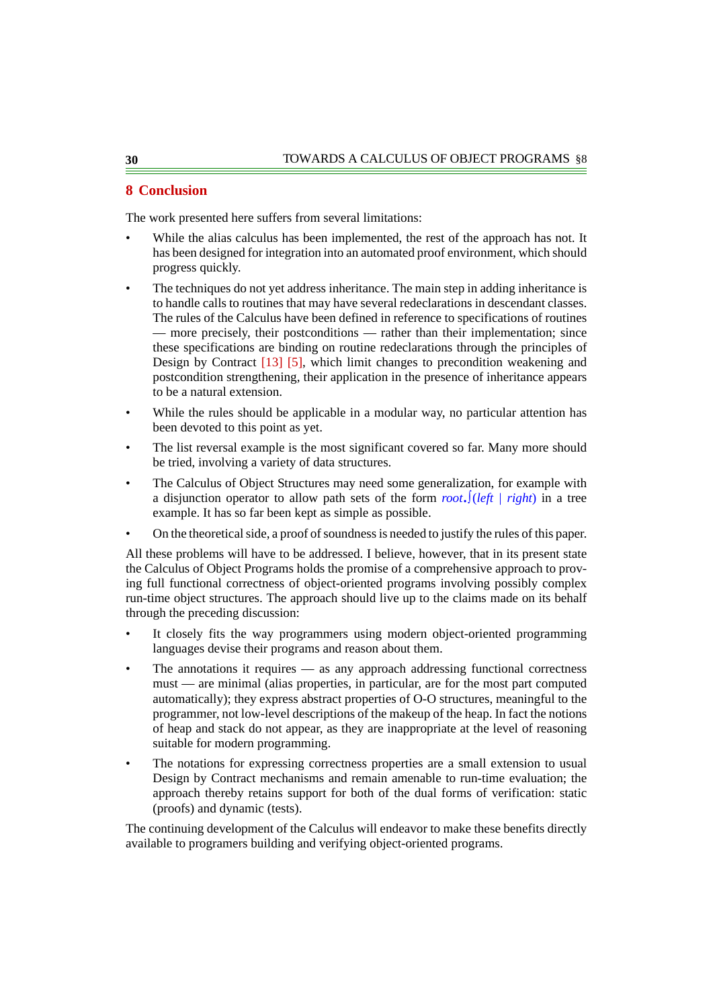# <span id="page-29-0"></span>**8 Conclusion**

The work presented here suffers from several limitations:

- While the alias calculus has been implemented, the rest of the approach has not. It has been designed for integration into an automated proof environment, which should progress quickly.
- The techniques do not yet address inheritance. The main step in adding inheritance is to handle calls to routines that may have several redeclarations in descendant classes. The rules of the Calculus have been defined in reference to specifications of routines — more precisely, their postconditions — rather than their implementation; since these specifications are binding on routine redeclarations through the principles of Design by Contract [\[13\]](#page-32-10) [\[5\],](#page-32-11) which limit changes to precondition weakening and postcondition strengthening, their application in the presence of inheritance appears to be a natural extension.
- While the rules should be applicable in a modular way, no particular attention has been devoted to this point as yet.
- The list reversal example is the most significant covered so far. Many more should be tried, involving a variety of data structures.
- The Calculus of Object Structures may need some generalization, for example with a disjunction operator to allow path sets of the form *root*. *(left | right*) in a tree example. It has so far been kept as simple as possible.
- On the theoretical side, a proof of soundness is needed to justify the rules of this paper.

All these problems will have to be addressed. I believe, however, that in its present state the Calculus of Object Programs holds the promise of a comprehensive approach to proving full functional correctness of object-oriented programs involving possibly complex run-time object structures. The approach should live up to the claims made on its behalf through the preceding discussion:

- It closely fits the way programmers using modern object-oriented programming languages devise their programs and reason about them.
- The annotations it requires as any approach addressing functional correctness must — are minimal (alias properties, in particular, are for the most part computed automatically); they express abstract properties of O-O structures, meaningful to the programmer, not low-level descriptions of the makeup of the heap. In fact the notions of heap and stack do not appear, as they are inappropriate at the level of reasoning suitable for modern programming.
- The notations for expressing correctness properties are a small extension to usual Design by Contract mechanisms and remain amenable to run-time evaluation; the approach thereby retains support for both of the dual forms of verification: static (proofs) and dynamic (tests).

The continuing development of the Calculus will endeavor to make these benefits directly available to programers building and verifying object-oriented programs.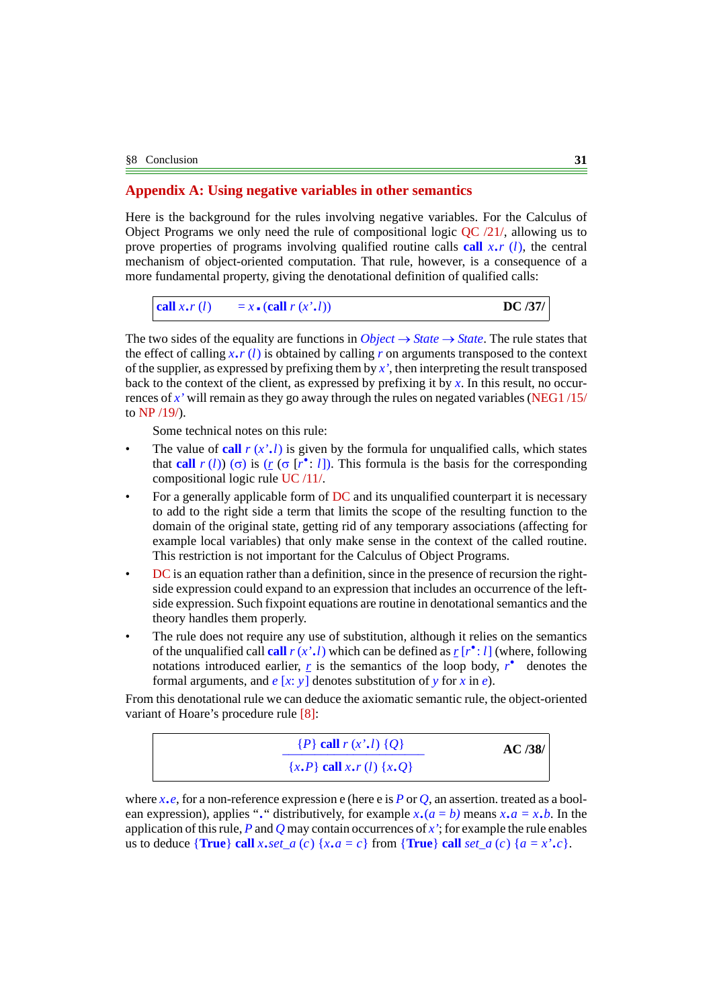# <span id="page-30-0"></span>**Appendix A: Using negative variables in other semantics**

Here is the background for the rules involving negative variables. For the Calculus of Object Programs we only need the rule of compositional logic  $QC/21/$ , allowing us to prove properties of programs involving qualified routine calls **call** *x*.*r* (*l*), the central mechanism of object-oriented computation. That rule, however, is a consequence of a more fundamental property, giving the denotational definition of qualified calls:

<span id="page-30-1"></span>**call**  $x \cdot r$  (*l*) =  $x \cdot (c \textbf{all } r (x'.l))$  **DC** /37/

The two sides of the equality are functions in  $Object \rightarrow State \rightarrow State$ . The rule states that the effect of calling  $x \cdot r$  (*l*) is obtained by calling *r* on arguments transposed to the context of the supplier, as expressed by prefixing them by *x'*, then interpreting the result transposed back to the context of the client, as expressed by prefixing it by *x*. In this result, no occurrences of  $x'$  will remain as they go away through the rules on negated variables (NEG1/15/ to [NP /19/](#page-17-3)).

Some technical notes on this rule:

- The value of **call**  $r(x'.l)$  is given by the formula for unqualified calls, which states that **call**  $r(l)$ ) ( $\sigma$ ) is ( $r(\sigma[r^* : l])$ . This formula is the basis for the corresponding that call  $r(l)$ ) ( $\sigma$ ) is ( $r$  ( $\sigma$  [ $r^*$ : *l*]). This formula is the basis for the corresponding compositional logic rule [UC /11/](#page-13-0).
- For a generally applicable form of DC and its unqualified counterpart it is necessary to add to the right side a term that limits the scope of the resulting function to the domain of the original state, getting rid of any temporary associations (affecting for example local variables) that only make sense in the context of the called routine. This restriction is not important for the Calculus of Object Programs.
- DC is an equation rather than a definition, since in the presence of recursion the rightside expression could expand to an expression that includes an occurrence of the leftside expression. Such fixpoint equations are routine in denotational semantics and the theory handles them properly.
- The rule does not require any use of substitution, although it relies on the semantics of the unqualified call **call**  $r(x', l)$  which can be defined as  $r(r^* : l)$  (where, following of the unqualified call call  $r(x',l)$  which can be defined as  $r[r^*:l]$  (where, following of the unqualified call **call**  $r(x', l)$  which can be defined as  $r[r^*:l]$  (where, following notations introduced earlier,  $r$  is the semantics of the loop body,  $r^*$  denotes the formal arguments, and  $e[x; y]$  denotes substitution of  $y$  for  $x$  in  $e$ ).

From this denotational rule we can deduce the axiomatic semantic rule, the object-oriented variant of Hoare's procedure rule [\[8\]](#page-32-12):

> ${P}$  **call**  $r(x'.l) {Q}$  **AC /38/** {*x*.*P*} **call** *x*.*r* (*l*) {*x*.*Q*}

where *x*.*e*, for a non-reference expression e (here e is *P* or *Q*, an assertion. treated as a boolean expression), applies "." distributively, for example  $x \cdot (a = b)$  means  $x \cdot a = x \cdot b$ . In the application of this rule, *P* and *Q* may contain occurrences of *x'*; for example the rule enables us to deduce  ${\bf {True} }$  **call**  $x, set\ a\ (c)\ \{x, a = c\}$  from  ${\bf {True} }$  **call**  $set\ a\ (c)\ \{a = x', c\}.$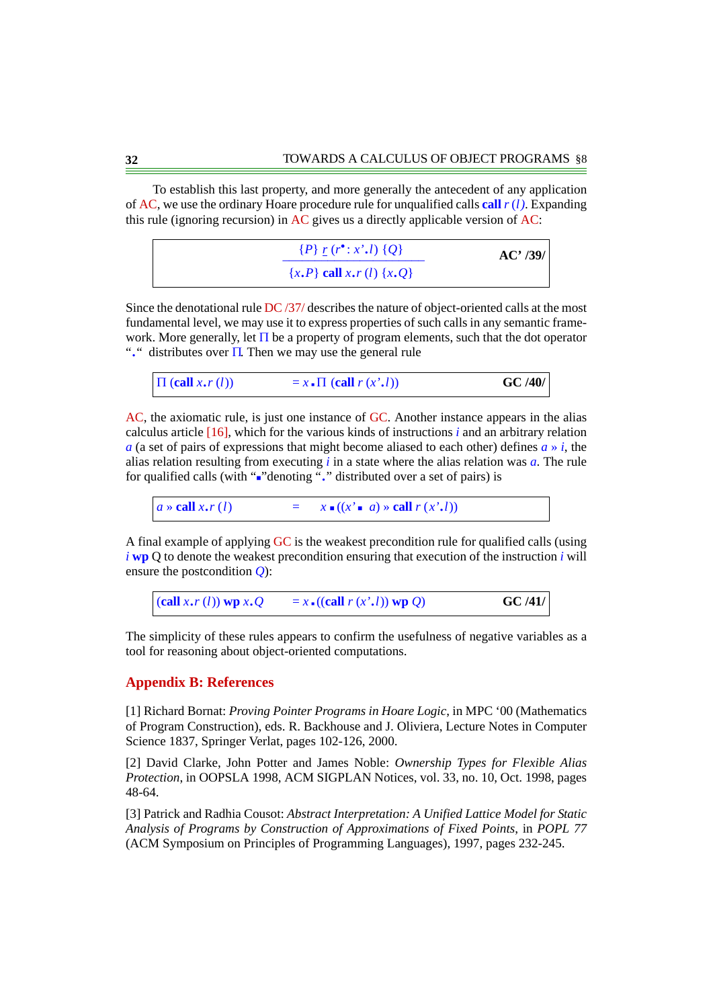To establish this last property, and more generally the antecedent of any application of AC, we use the ordinary Hoare procedure rule for unqualified calls **call** *r* (*l)*. Expanding this rule (ignoring recursion) in AC gives us a directly applicable version of AC:

$$
\frac{\{P\} \underline{r} \, (r^{\bullet} : x^{\prime}.l) \, \{Q\}}{\{x.P\} \, \text{call } x.r \, (l) \, \{x.Q\}}
$$
  $AC' / 39/$ 

Since the denotational rule  $DC/37/$  describes the nature of object-oriented calls at the most fundamental level, we may use it to express properties of such calls in any semantic framework. More generally, let  $\Pi$  be a property of program elements, such that the dot operator "." distributes over  $\Pi$ . Then we may use the general rule

 $\Pi$  (call *x*, *r* (*l*)) =  $x \cdot \Pi$  (call *r* (*x'*, *l*)) GC /40/

AC, the axiomatic rule, is just one instance of GC. Another instance appears in the alias calculus article [\[16\],](#page-32-1) which for the various kinds of instructions *i* and an arbitrary relation *a* (a set of pairs of expressions that might become aliased to each other) defines  $a \times i$ , the alias relation resulting from executing *i* in a state where the alias relation was *a*. The rule for qualified calls (with "•"denoting "." distributed over a set of pairs) is

$$
a \gg \operatorname{call} x.r (l) = x \bullet ((x' \bullet a) \gg \operatorname{call} r (x'.l))
$$

A final example of applying GC is the weakest precondition rule for qualified calls (using *i* **wp** Q to denote the weakest precondition ensuring that execution of the instruction *i* will ensure the postcondition *Q*):

$$
(\text{call } x, r (l)) \text{ wp } x, Q = x \cdot ((\text{call } r (x'.l)) \text{ wp } Q) \qquad \qquad \text{GC } /41/
$$

The simplicity of these rules appears to confirm the usefulness of negative variables as a tool for reasoning about object-oriented computations.

## **Appendix B: References**

<span id="page-31-0"></span>[1] Richard Bornat: *Proving Pointer Programs in Hoare Logic*, in MPC '00 (Mathematics of Program Construction), eds. R. Backhouse and J. Oliviera, Lecture Notes in Computer Science 1837, Springer Verlat, pages 102-126, 2000.

[2] David Clarke, John Potter and James Noble: *Ownership Types for Flexible Alias Protection*, in OOPSLA 1998, ACM SIGPLAN Notices, vol. 33, no. 10, Oct. 1998, pages 48-64.

<span id="page-31-1"></span>[3] Patrick and Radhia Cousot: *Abstract Interpretation: A Unified Lattice Model for Static Analysis of Programs by Construction of Approximations of Fixed Points*, in *POPL 77*  (ACM Symposium on Principles of Programming Languages), 1997, pages 232-245.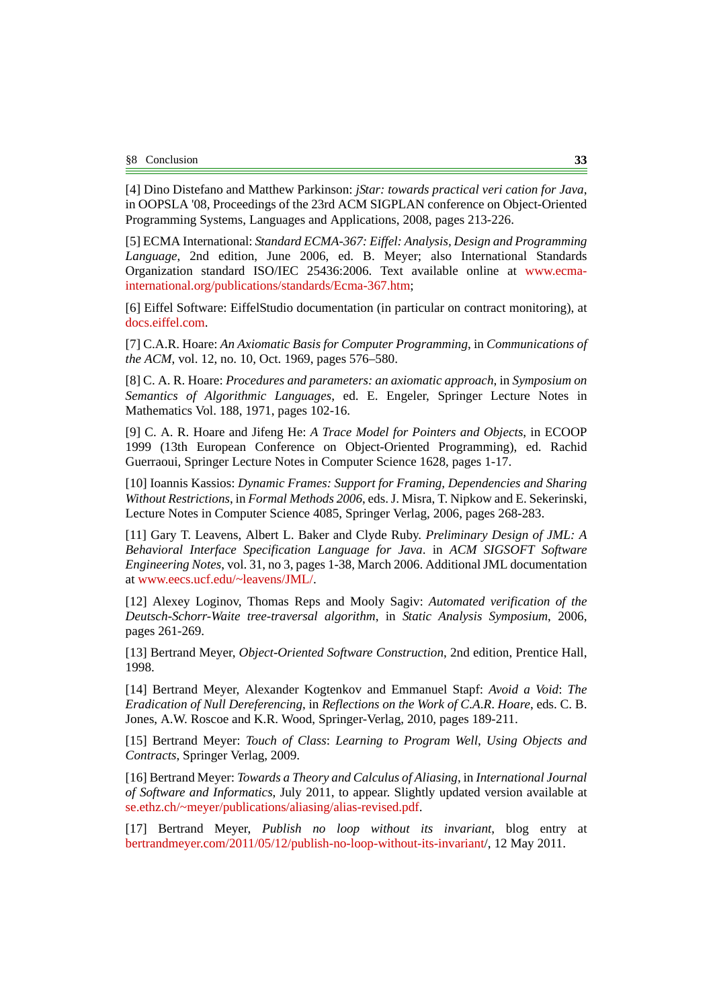<span id="page-32-7"></span>[4] Dino Distefano and Matthew Parkinson: *jStar: towards practical veri cation for Java*, in OOPSLA '08, Proceedings of the 23rd ACM SIGPLAN conference on Object-Oriented Programming Systems, Languages and Applications, 2008, pages 213-226.

<span id="page-32-11"></span>[5] ECMA International: *Standard ECMA-367: Eiffel: Analysis, Design and Programming Language*, 2nd edition, June 2006, ed. B. Meyer; also International Standards Organization standard ISO/IEC 25436:2006. Text available online at [www.ecma](http://www.ecma-international.org/publications/standards/Ecma-367.htm)[international.org/publications/standards/Ecma-367.htm;](http://www.ecma-international.org/publications/standards/Ecma-367.htm)

<span id="page-32-5"></span>[6] Eiffel Software: EiffelStudio documentation (in particular on contract monitoring), at [docs.eiffel.com](http://docs.eiffel.com).

[7] C.A.R. Hoare: *An Axiomatic Basis for Computer Programming*, in *Communications of the ACM*, vol. 12, no. 10, Oct. 1969, pages 576–580.

<span id="page-32-12"></span>[8] C. A. R. Hoare: *Procedures and parameters: an axiomatic approach*, in *Symposium on Semantics of Algorithmic Languages*, ed. E. Engeler, Springer Lecture Notes in Mathematics Vol. 188, 1971, pages 102-16.

<span id="page-32-6"></span>[9] C. A. R. Hoare and Jifeng He: *A Trace Model for Pointers and Objects*, in ECOOP 1999 (13th European Conference on Object-Oriented Programming), ed. Rachid Guerraoui, Springer Lecture Notes in Computer Science 1628, pages 1-17.

<span id="page-32-8"></span>[10] Ioannis Kassios: *Dynamic Frames: Support for Framing, Dependencies and Sharing Without Restrictions*, in *Formal Methods 2006*, eds. J. Misra, T. Nipkow and E. Sekerinski, Lecture Notes in Computer Science 4085, Springer Verlag, 2006, pages 268-283.

<span id="page-32-4"></span>[11] Gary T. Leavens, Albert L. Baker and Clyde Ruby. *Preliminary Design of JML: A Behavioral Interface Specification Language for Java*. in *ACM SIGSOFT Software Engineering Notes*, vol. 31, no 3, pages 1-38, March 2006. Additional JML documentation at [www.eecs.ucf.edu/~leavens/JML/.](http://www.eecs.ucf.edu/~leavens/JML/)

<span id="page-32-9"></span>[12] Alexey Loginov, Thomas Reps and Mooly Sagiv: *Automated verification of the Deutsch-Schorr-Waite tree-traversal algorithm*, in *Static Analysis Symposium*, 2006, pages 261-269.

<span id="page-32-10"></span>[13] Bertrand Meyer, *Object-Oriented Software Construction*, 2nd edition, Prentice Hall, 1998.

<span id="page-32-3"></span>[14] Bertrand Meyer, Alexander Kogtenkov and Emmanuel Stapf: *Avoid a Void*: *The Eradication of Null Dereferencing*, in *Reflections on the Work of C*.*A*.*R*. *Hoare*, eds. C. B. Jones, A.W. Roscoe and K.R. Wood, Springer-Verlag, 2010, pages 189-211.

<span id="page-32-2"></span>[15] Bertrand Meyer: *Touch of Class*: *Learning to Program Well*, *Using Objects and Contracts*, Springer Verlag, 2009.

<span id="page-32-1"></span>[16] Bertrand Meyer: *Towards a Theory and Calculus of Aliasing*, in *International Journal of Software and Informatics*, July 2011, to appear. Slightly updated version available at [se.ethz.ch/~meyer/publications/aliasing/alias-revised.pdf](http://se.ethz.ch/~meyer/publications/aliasing/alias-revised.pdf).

<span id="page-32-0"></span>[17] Bertrand Meyer, *Publish no loop without its invariant*, blog entry at [bertrandmeyer.com/2011/05/12/publish-no-loop-without-its-invariant](http://bertrandmeyer.com/2011/05/12/publish-no-loop-without-its-invariant)/, 12 May 2011.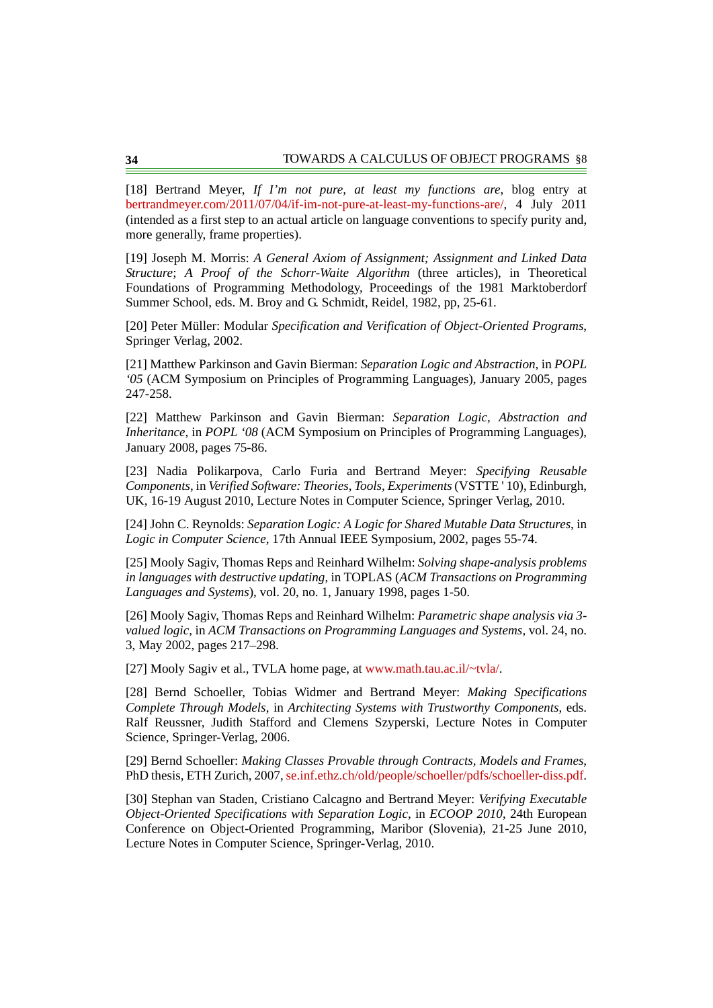<span id="page-33-4"></span>[18] Bertrand Meyer, *If I'm not pure, at least my functions are*, blog entry at [bertrandmeyer.com/2011/07/04/if-im-not-pure-at-least-my-functions-are/,](http://bertrandmeyer.com/2011/07/04/if-im-not-pure-at-least-my-functions-are/) 4 July 2011 (intended as a first step to an actual article on language conventions to specify purity and, more generally, frame properties).

<span id="page-33-5"></span>[19] Joseph M. Morris: *A General Axiom of Assignment; Assignment and Linked Data Structure*; *A Proof of the Schorr-Waite Algorithm* (three articles), in Theoretical Foundations of Programming Methodology, Proceedings of the 1981 Marktoberdorf Summer School, eds. M. Broy and G. Schmidt, Reidel, 1982, pp, 25-61.

<span id="page-33-1"></span>[20] Peter Müller: Modular *Specification and Verification of Object-Oriented Programs*, Springer Verlag, 2002.

<span id="page-33-7"></span>[21] Matthew Parkinson and Gavin Bierman: *Separation Logic and Abstraction*, in *POPL '05* (ACM Symposium on Principles of Programming Languages), January 2005, pages 247-258.

<span id="page-33-8"></span>[22] Matthew Parkinson and Gavin Bierman: *Separation Logic, Abstraction and Inheritance*, in *POPL '08* (ACM Symposium on Principles of Programming Languages), January 2008, pages 75-86.

<span id="page-33-2"></span>[23] Nadia Polikarpova, Carlo Furia and Bertrand Meyer: *Specifying Reusable Components*, in *Verified Software: Theories, Tools, Experiments* (VSTTE ' 10), Edinburgh, UK, 16-19 August 2010, Lecture Notes in Computer Science, Springer Verlag, 2010.

<span id="page-33-6"></span>[24] John C. Reynolds: *Separation Logic: A Logic for Shared Mutable Data Structures*, in *Logic in Computer Science*, 17th Annual IEEE Symposium, 2002, pages 55-74.

<span id="page-33-10"></span>[25] Mooly Sagiv, Thomas Reps and Reinhard Wilhelm: *Solving shape-analysis problems in languages with destructive updating*, in TOPLAS (*ACM Transactions on Programming Languages and Systems*), vol. 20, no. 1, January 1998, pages 1-50.

<span id="page-33-11"></span>[26] Mooly Sagiv, Thomas Reps and Reinhard Wilhelm: *Parametric shape analysis via 3 valued logic*, in *ACM Transactions on Programming Languages and Systems*, vol. 24, no. 3, May 2002, pages 217–298.

<span id="page-33-12"></span>[27] Mooly Sagiv et al., TVLA home page, at [www.math.tau.ac.il/~tvla/](http://www.math.tau.ac.il/~tvla/).

<span id="page-33-3"></span>[28] Bernd Schoeller, Tobias Widmer and Bertrand Meyer: *Making Specifications Complete Through Models*, in *Architecting Systems with Trustworthy Components*, eds. Ralf Reussner, Judith Stafford and Clemens Szyperski, Lecture Notes in Computer Science, Springer-Verlag, 2006.

<span id="page-33-9"></span>[29] Bernd Schoeller: *Making Classes Provable through Contracts, Models and Frames*, PhD thesis, ETH Zurich, 2007, [se.inf.ethz.ch/old/people/schoeller/pdfs/schoeller-diss.pdf](http://se.inf.ethz.ch/old/people/schoeller/pdfs/schoeller-diss.pdf).

<span id="page-33-0"></span>[30] Stephan van Staden, Cristiano Calcagno and Bertrand Meyer: *Verifying Executable Object-Oriented Specifications with Separation Logic*, in *ECOOP 2010*, 24th European Conference on Object-Oriented Programming, Maribor (Slovenia), 21-25 June 2010, Lecture Notes in Computer Science, Springer-Verlag, 2010.